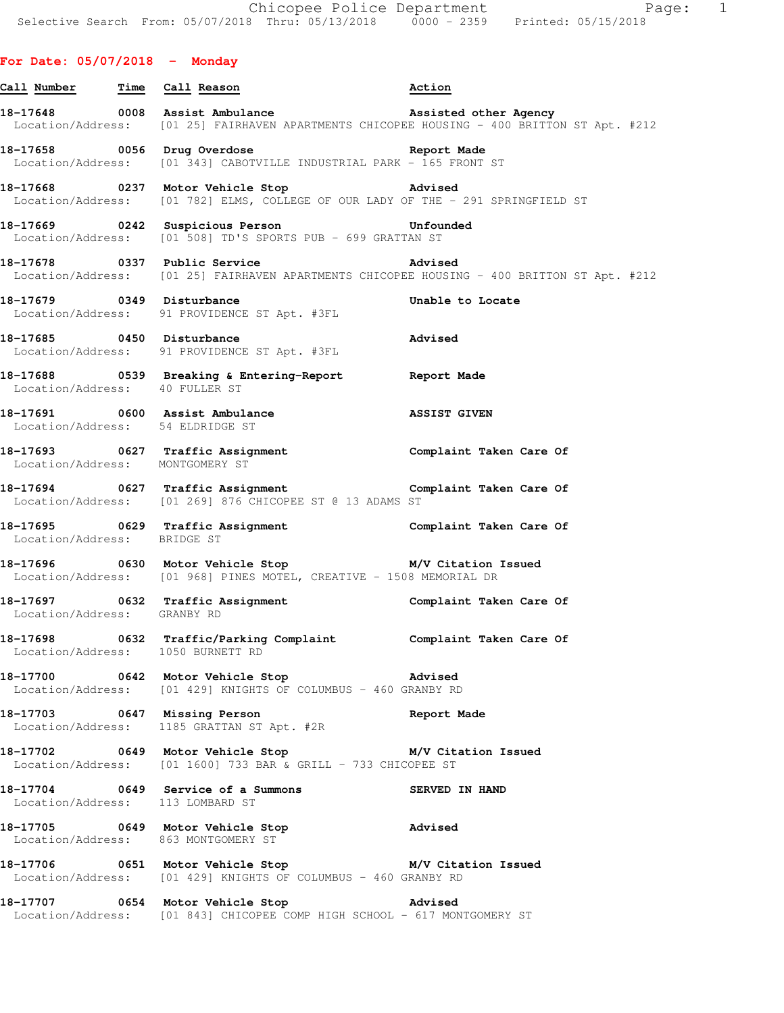## **For Date: 05/07/2018 - Monday**

- **Call Number Time Call Reason Action**  18-17648 0008 Assist Ambulance **Assisted other Agency** Location/Address: [01 25] FAIRHAVEN APARTMENTS CHICOPEE HOUSING - 400 BRITTON ST Apt. #212
- **18-17658 0056 Drug Overdose Report Made**  Location/Address: [01 343] CABOTVILLE INDUSTRIAL PARK - 165 FRONT ST
- **18-17668 0237 Motor Vehicle Stop Advised**  Location/Address: [01 782] ELMS, COLLEGE OF OUR LADY OF THE - 291 SPRINGFIELD ST
- **18-17669 0242 Suspicious Person Unfounded**  Location/Address: [01 508] TD'S SPORTS PUB - 699 GRATTAN ST
- **18-17678 0337 Public Service Advised**  Location/Address: [01 25] FAIRHAVEN APARTMENTS CHICOPEE HOUSING - 400 BRITTON ST Apt. #212
- **18-17679 0349 Disturbance Unable to Locate**  Location/Address: 91 PROVIDENCE ST Apt. #3FL **18-17685 0450 Disturbance Advised**
- Location/Address: 91 PROVIDENCE ST Apt. #3FL
- **18-17688 0539 Breaking & Entering-Report Report Made**  Location/Address: 40 FULLER ST
- **18-17691 0600 Assist Ambulance ASSIST GIVEN**  Location/Address: 54 ELDRIDGE ST
- **18-17693 0627 Traffic Assignment Complaint Taken Care Of**  Location/Address: MONTGOMERY ST
- **18-17694 0627 Traffic Assignment Complaint Taken Care Of**  Location/Address: [01 269] 876 CHICOPEE ST @ 13 ADAMS ST
- **18-17695 0629 Traffic Assignment Complaint Taken Care Of**  Location/Address: BRIDGE ST
- **18-17696 0630 Motor Vehicle Stop M/V Citation Issued**  Location/Address: [01 968] PINES MOTEL, CREATIVE - 1508 MEMORIAL DR
- **18-17697 0632 Traffic Assignment Complaint Taken Care Of**  Location/Address: GRANBY RD
- **18-17698 0632 Traffic/Parking Complaint Complaint Taken Care Of**  Location/Address: 1050 BURNETT RD
- **18-17700 0642 Motor Vehicle Stop Advised**  Location/Address: [01 429] KNIGHTS OF COLUMBUS - 460 GRANBY RD
- **18-17703 0647 Missing Person Report Made**  Location/Address: 1185 GRATTAN ST Apt. #2R
- **18-17702 0649 Motor Vehicle Stop M/V Citation Issued**  Location/Address: [01 1600] 733 BAR & GRILL - 733 CHICOPEE ST
- **18-17704 0649 Service of a Summons SERVED IN HAND**  Location/Address: 113 LOMBARD ST
- **18-17705 0649 Motor Vehicle Stop Advised**  Location/Address: 863 MONTGOMERY ST
- **18-17706 0651 Motor Vehicle Stop M/V Citation Issued**  Location/Address: [01 429] KNIGHTS OF COLUMBUS - 460 GRANBY RD
- **18-17707 0654 Motor Vehicle Stop Advised**  Location/Address: [01 843] CHICOPEE COMP HIGH SCHOOL - 617 MONTGOMERY ST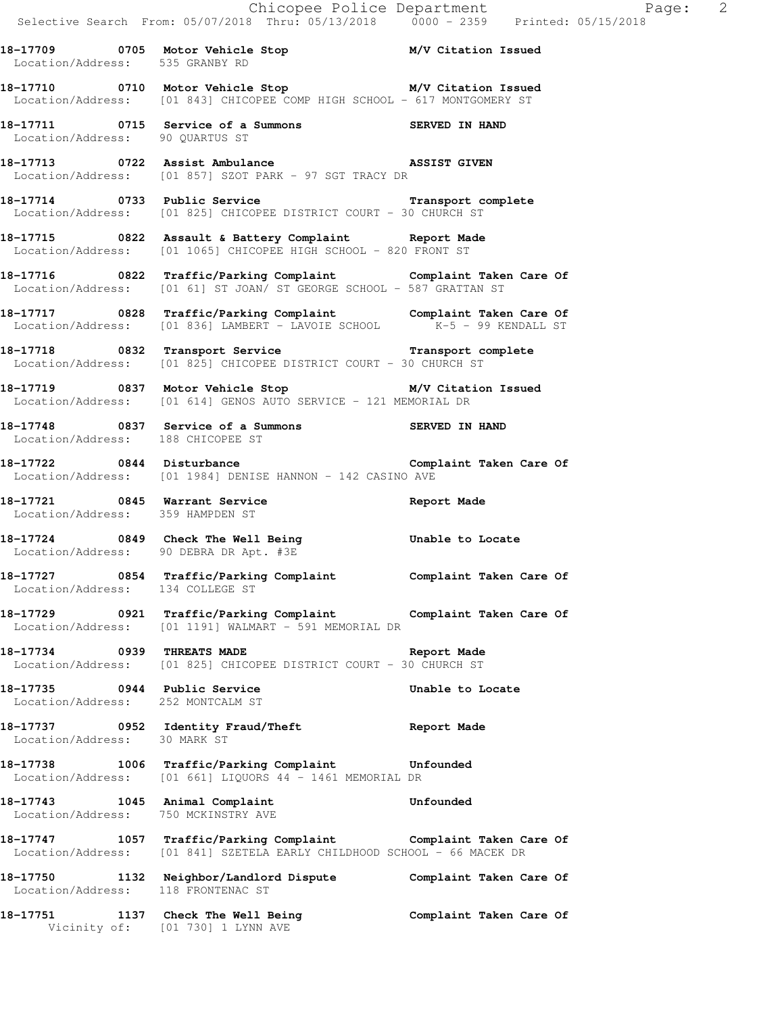**18-17709 0705 Motor Vehicle Stop M/V Citation Issued** 

**18-17710 0710 Motor Vehicle Stop M/V Citation Issued**  Location/Address: [01 843] CHICOPEE COMP HIGH SCHOOL - 617 MONTGOMERY ST

**18-17711 0715 Service of a Summons SERVED IN HAND**  Location/Address: 90 QUARTUS ST

**18-17713 0722 Assist Ambulance ASSIST GIVEN**  Location/Address: [01 857] SZOT PARK - 97 SGT TRACY DR

Location/Address: 535 GRANBY RD

**18-17714 0733 Public Service Transport complete**  Location/Address: [01 825] CHICOPEE DISTRICT COURT - 30 CHURCH ST

**18-17715 0822 Assault & Battery Complaint Report Made**  Location/Address: [01 1065] CHICOPEE HIGH SCHOOL - 820 FRONT ST

**18-17716 0822 Traffic/Parking Complaint Complaint Taken Care Of**  Location/Address: [01 61] ST JOAN/ ST GEORGE SCHOOL - 587 GRATTAN ST

**18-17717 0828 Traffic/Parking Complaint Complaint Taken Care Of**  Location/Address: [01 836] LAMBERT - LAVOIE SCHOOL K-5 - 99 KENDALL ST

**18-17718 0832 Transport Service Transport complete**  Location/Address: [01 825] CHICOPEE DISTRICT COURT - 30 CHURCH ST

**18-17719 0837 Motor Vehicle Stop M/V Citation Issued**  Location/Address: [01 614] GENOS AUTO SERVICE - 121 MEMORIAL DR

**18-17748 0837 Service of a Summons SERVED IN HAND**  Location/Address: 188 CHICOPEE ST

**18-17722 0844 Disturbance Complaint Taken Care Of**  Location/Address: [01 1984] DENISE HANNON - 142 CASINO AVE

18-17721 0845 Warrant Service **Report Made** Location/Address: 359 HAMPDEN ST

**18-17724 0849 Check The Well Being Unable to Locate**  Location/Address: 90 DEBRA DR Apt. #3E

**18-17727 0854 Traffic/Parking Complaint Complaint Taken Care Of**  Location/Address: 134 COLLEGE ST

**18-17729 0921 Traffic/Parking Complaint Complaint Taken Care Of**  Location/Address: [01 1191] WALMART - 591 MEMORIAL DR

**18-17734 0939 THREATS MADE Report Made**  Location/Address: [01 825] CHICOPEE DISTRICT COURT - 30 CHURCH ST

18-17735 0944 Public Service **18-17735** Unable to Locate Location/Address: 252 MONTCALM ST

**18-17737 0952 Identity Fraud/Theft Report Made**  Location/Address: 30 MARK ST

**18-17738 1006 Traffic/Parking Complaint Unfounded**  Location/Address: [01 661] LIQUORS 44 - 1461 MEMORIAL DR

**18-17743 1045 Animal Complaint Unfounded**  Location/Address: 750 MCKINSTRY AVE

**18-17747 1057 Traffic/Parking Complaint Complaint Taken Care Of**  Location/Address: [01 841] SZETELA EARLY CHILDHOOD SCHOOL - 66 MACEK DR

**18-17750 1132 Neighbor/Landlord Dispute Complaint Taken Care Of**  Location/Address: 118 FRONTENAC ST

**18-17751 1137 Check The Well Being Complaint Taken Care Of**  Vicinity of: [01 730] 1 LYNN AVE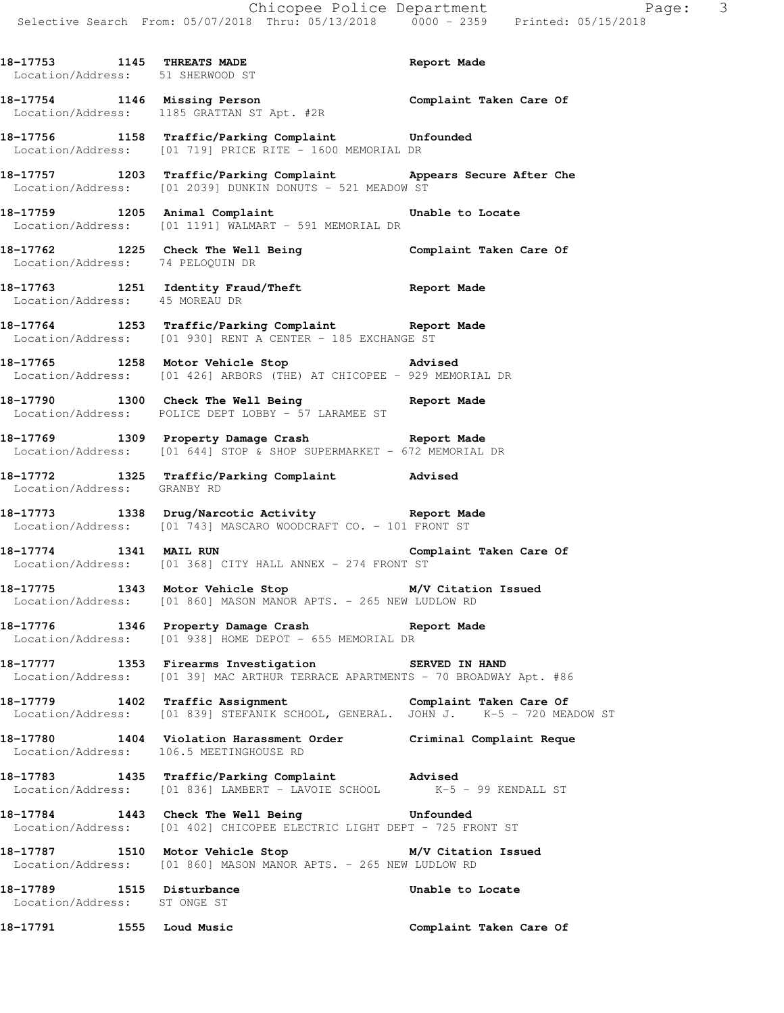| 18-17753 1145 THREATS MADE<br>Location/Address: 51 SHERWOOD ST | Report Made                                                                                                                   |  |
|----------------------------------------------------------------|-------------------------------------------------------------------------------------------------------------------------------|--|
|                                                                | 18-17754 1146 Missing Person Complaint Taken Care Of Location/Address: 1185 GRATTAN ST Apt. #2R                               |  |
|                                                                | 18-17756 1158 Traffic/Parking Complaint Unfounded<br>Location/Address: [01 719] PRICE RITE - 1600 MEMORIAL DR                 |  |
|                                                                | 18-17757 1203 Traffic/Parking Complaint Appears Secure After Che<br>Location/Address: [01 2039] DUNKIN DONUTS - 521 MEADOW ST |  |
|                                                                | 18-17759 1205 Animal Complaint Unable to Locate<br>Location/Address: [01 1191] WALMART - 591 MEMORIAL DR                      |  |
|                                                                | 18-17762 1225 Check The Well Being Complaint Taken Care Of Location/Address: 74 PELOQUIN DR                                   |  |
|                                                                | 18-17763 1251 Identity Fraud/Theft Report Made<br>Location/Address: 45 MOREAU DR                                              |  |
|                                                                | 18-17764 1253 Traffic/Parking Complaint Report Made<br>Location/Address: [01 930] RENT A CENTER - 185 EXCHANGE ST             |  |
|                                                                | 18-17765 1258 Motor Vehicle Stop Motor Advised<br>Location/Address: [01 426] ARBORS (THE) AT CHICOPEE - 929 MEMORIAL DR       |  |
|                                                                | 18-17790 1300 Check The Well Being Report Made<br>Location/Address: POLICE DEPT LOBBY - 57 LARAMEE ST                         |  |
|                                                                | 18-17769 1309 Property Damage Crash Report Made<br>Location/Address: [01 644] STOP & SHOP SUPERMARKET - 672 MEMORIAL DR       |  |
|                                                                | 18-17772 1325 Traffic/Parking Complaint Advised<br>Location/Address: GRANBY RD                                                |  |
|                                                                | 18-17773 1338 Drug/Narcotic Activity Report Made<br>Location/Address: [01 743] MASCARO WOODCRAFT CO. - 101 FRONT ST           |  |
|                                                                | 18-17774 1341 MAIL RUN Complaint Taken Care Of<br>Location/Address: [01 368] CITY HALL ANNEX - 274 FRONT ST                   |  |
|                                                                |                                                                                                                               |  |

**18-17775 1343 Motor Vehicle Stop M/V Citation Issued**  Location/Address: [01 860] MASON MANOR APTS. - 265 NEW LUDLOW RD

**18-17776 1346 Property Damage Crash Report Made**  Location/Address: [01 938] HOME DEPOT - 655 MEMORIAL DR

**18-17777 1353 Firearms Investigation SERVED IN HAND**  Location/Address: [01 39] MAC ARTHUR TERRACE APARTMENTS - 70 BROADWAY Apt. #86

**18-17779 1402 Traffic Assignment Complaint Taken Care Of**  Location/Address: [01 839] STEFANIK SCHOOL, GENERAL. JOHN J. K-5 - 720 MEADOW ST

**18-17780 1404 Violation Harassment Order Criminal Complaint Reque**  Location/Address: 106.5 MEETINGHOUSE RD

**18-17783 1435 Traffic/Parking Complaint Advised**  Location/Address: [01 836] LAMBERT - LAVOIE SCHOOL K-5 - 99 KENDALL ST

**18-17784 1443 Check The Well Being Unfounded**  Location/Address: [01 402] CHICOPEE ELECTRIC LIGHT DEPT - 725 FRONT ST

**18-17787 1510 Motor Vehicle Stop M/V Citation Issued**  Location/Address: [01 860] MASON MANOR APTS. - 265 NEW LUDLOW RD

**18-17789 1515 Disturbance Unable to Locate**  Location/Address: ST ONGE ST

**18-17791 1555 Loud Music Complaint Taken Care Of**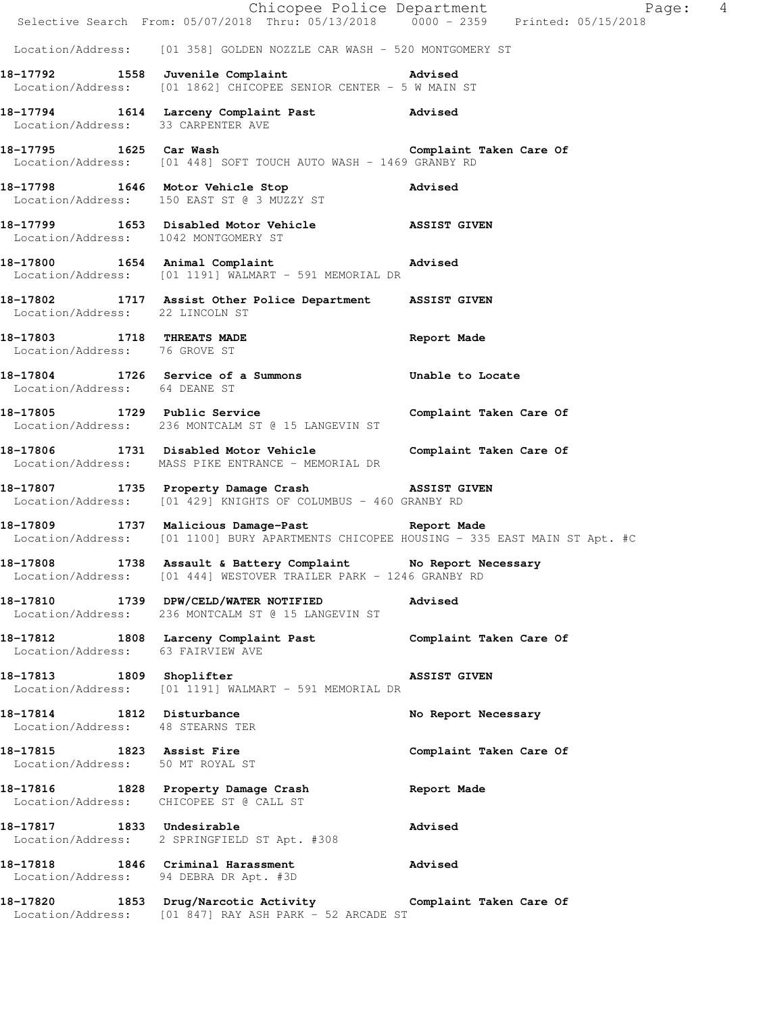|                                                               | E Chicopee Police Department<br>Selective Search From: 05/07/2018 Thru: 05/13/2018 0000 - 2359 Printed: 05/15/2018                              | Page: 4                 |
|---------------------------------------------------------------|-------------------------------------------------------------------------------------------------------------------------------------------------|-------------------------|
|                                                               | Location/Address: [01 358] GOLDEN NOZZLE CAR WASH - 520 MONTGOMERY ST                                                                           |                         |
|                                                               | 18-17792 1558 Juvenile Complaint 18-17792<br>Location/Address: [01 1862] CHICOPEE SENIOR CENTER - 5 W MAIN ST                                   |                         |
| Location/Address: 33 CARPENTER AVE                            | 18-17794 1614 Larceny Complaint Past Advised                                                                                                    |                         |
| 18-17795 1625 Car Wash                                        | Location/Address: [01 448] SOFT TOUCH AUTO WASH - 1469 GRANBY RD                                                                                | Complaint Taken Care Of |
|                                                               | 18-17798 1646 Motor Vehicle Stop 18-17798<br>Location/Address: 150 EAST ST @ 3 MUZZY ST                                                         |                         |
|                                                               | 18-17799 1653 Disabled Motor Vehicle ASSIST GIVEN<br>Location/Address: 1042 MONTGOMERY ST                                                       |                         |
|                                                               | 18-17800 1654 Animal Complaint Advised<br>Location/Address: [01 1191] WALMART - 591 MEMORIAL DR                                                 |                         |
| Location/Address: 22 LINCOLN ST                               | 18-17802 1717 Assist Other Police Department ASSIST GIVEN                                                                                       |                         |
| 18-17803 1718 THREATS MADE<br>Location/Address: 76 GROVE ST   |                                                                                                                                                 | Report Made             |
| Location/Address: 64 DEANE ST                                 | 18-17804 1726 Service of a Summons Unable to Locate                                                                                             |                         |
|                                                               | 18-17805 1729 Public Service Complaint Taken Care Of<br>Location/Address: 236 MONTCALM ST @ 15 LANGEVIN ST                                      |                         |
|                                                               | 18-17806 1731 Disabled Motor Vehicle Complaint Taken Care Of<br>Location/Address: MASS PIKE ENTRANCE - MEMORIAL DR                              |                         |
|                                                               | 18-17807 1735 Property Damage Crash MSSIST GIVEN<br>Location/Address: [01 429] KNIGHTS OF COLUMBUS - 460 GRANBY RD                              |                         |
|                                                               | 18-17809 1737 Malicious Damage-Past 1787 Report Made<br>Location/Address: [01 1100] BURY APARTMENTS CHICOPEE HOUSING - 335 EAST MAIN ST Apt. #C |                         |
|                                                               | 18-17808 1738 Assault & Battery Complaint No Report Necessary<br>Location/Address: [01 444] WESTOVER TRAILER PARK - 1246 GRANBY RD              |                         |
|                                                               | 18-17810 1739 DPW/CELD/WATER NOTIFIED<br>Location/Address: 236 MONTCALM ST @ 15 LANGEVIN ST                                                     | Advised                 |
| Location/Address: 63 FAIRVIEW AVE                             | 18-17812 1808 Larceny Complaint Past                                                                                                            | Complaint Taken Care Of |
| 18-17813 1809 Shoplifter                                      | Location/Address: [01 1191] WALMART - 591 MEMORIAL DR                                                                                           | <b>ASSIST GIVEN</b>     |
| 18-17814 1812 Disturbance<br>Location/Address: 48 STEARNS TER |                                                                                                                                                 | No Report Necessary     |
| 18-17815 1823 Assist Fire<br>Location/Address: 50 MT ROYAL ST |                                                                                                                                                 | Complaint Taken Care Of |
|                                                               | 18-17816 1828 Property Damage Crash<br>Location/Address: CHICOPEE ST @ CALL ST                                                                  | Report Made             |
| 18-17817 1833 Undesirable                                     | Location/Address: 2 SPRINGFIELD ST Apt. #308                                                                                                    | <b>Advised</b>          |
|                                                               | 18-17818 1846 Criminal Harassment<br>Location/Address: 94 DEBRA DR Apt. #3D                                                                     | Advised                 |
|                                                               | 18-17820 1853 Drug/Narcotic Activity 6 Complaint Taken Care Of<br>Location/Address: [01 847] RAY ASH PARK - 52 ARCADE ST                        |                         |
|                                                               |                                                                                                                                                 |                         |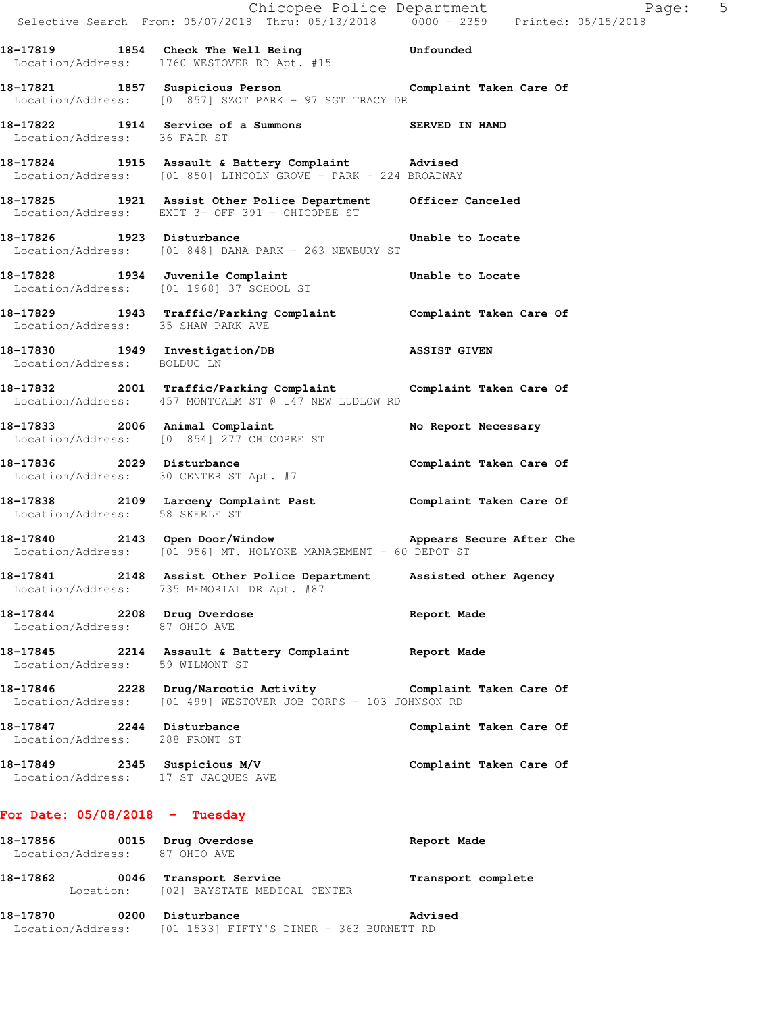|                                                              | Chicopee Police Department<br>Selective Search From: 05/07/2018 Thru: 05/13/2018 0000 - 2359 Printed: 05/15/2018                  |                         |
|--------------------------------------------------------------|-----------------------------------------------------------------------------------------------------------------------------------|-------------------------|
|                                                              | 18-17819 1854 Check The Well Being Unfounded Location/Address: 1760 WESTOVER RD Apt. #15                                          |                         |
|                                                              | 18-17821 1857 Suspicious Person Complaint Taken Care Of<br>Location/Address: [01 857] SZOT PARK - 97 SGT TRACY DR                 |                         |
| Location/Address: 36 FAIR ST                                 | 18-17822 1914 Service of a Summons SERVED IN HAND                                                                                 |                         |
|                                                              | 18-17824 1915 Assault & Battery Complaint Advised<br>Location/Address: [01 850] LINCOLN GROVE - PARK - 224 BROADWAY               |                         |
|                                                              | 18-17825 1921 Assist Other Police Department Officer Canceled Location/Address: EXIT 3- OFF 391 - CHICOPEE ST                     |                         |
|                                                              | 18-17826 1923 Disturbance<br>Location/Address: [01 848] DANA PARK - 263 NEWBURY ST                                                | Unable to Locate        |
|                                                              | 18-17828 1934 Juvenile Complaint Unable to Locate<br>Location/Address: [01 1968] 37 SCHOOL ST                                     |                         |
| Location/Address: 35 SHAW PARK AVE                           | 18-17829 1943 Traffic/Parking Complaint Complaint Taken Care Of                                                                   |                         |
| Location/Address: BOLDUC LN                                  | 18-17830 1949 Investigation/DB 18SIST GIVEN                                                                                       |                         |
|                                                              | 18-17832 2001 Traffic/Parking Complaint Complaint Taken Care Of<br>Location/Address: 457 MONTCALM ST @ 147 NEW LUDLOW RD          |                         |
|                                                              | 18-17833 2006 Animal Complaint<br>Location/Address: [01 854] 277 CHICOPEE ST                                                      | No Report Necessary     |
|                                                              | 18-17836 2029 Disturbance<br>Location/Address: 30 CENTER ST Apt. #7                                                               | Complaint Taken Care Of |
| Location/Address: 58 SKEELE ST                               | 18-17838 2109 Larceny Complaint Past Complaint Taken Care Of                                                                      |                         |
|                                                              | 18-17840 2143 Open Door/Window <b>Appears Secure After Che</b><br>Location/Address: [01 956] MT. HOLYOKE MANAGEMENT - 60 DEPOT ST |                         |
|                                                              | 18-17841 2148 Assist Other Police Department Assisted other Agency<br>Location/Address: 735 MEMORIAL DR Apt. #87                  |                         |
| 18-17844 2208 Drug Overdose<br>Location/Address: 87 OHIO AVE |                                                                                                                                   | Report Made             |
| Location/Address: 59 WILMONT ST                              | 18-17845 2214 Assault & Battery Complaint Report Made                                                                             |                         |
|                                                              | 18-17846 2228 Drug/Narcotic Activity Complaint Taken Care Of<br>Location/Address: [01 499] WESTOVER JOB CORPS - 103 JOHNSON RD    |                         |
| 18-17847 2244 Disturbance<br>Location/Address: 288 FRONT ST  |                                                                                                                                   | Complaint Taken Care Of |
| Location/Address: 17 ST JACQUES AVE                          | 18-17849 2345 Suspicious M/V                                                                                                      | Complaint Taken Care Of |
| For Date: $05/08/2018$ - Tuesday                             |                                                                                                                                   |                         |
| 18-17856 0015 Drug Overdose<br>Location/Address: 87 OHIO AVE |                                                                                                                                   | Report Made             |
| 18-17862                                                     | 0046 Transport Service<br>Location: [02] BAYSTATE MEDICAL CENTER                                                                  | Transport complete      |

**18-17870 0200 Disturbance Advised**  Location/Address: [01 1533] FIFTY'S DINER - 363 BURNETT RD

 $Page: 5$ <br>2018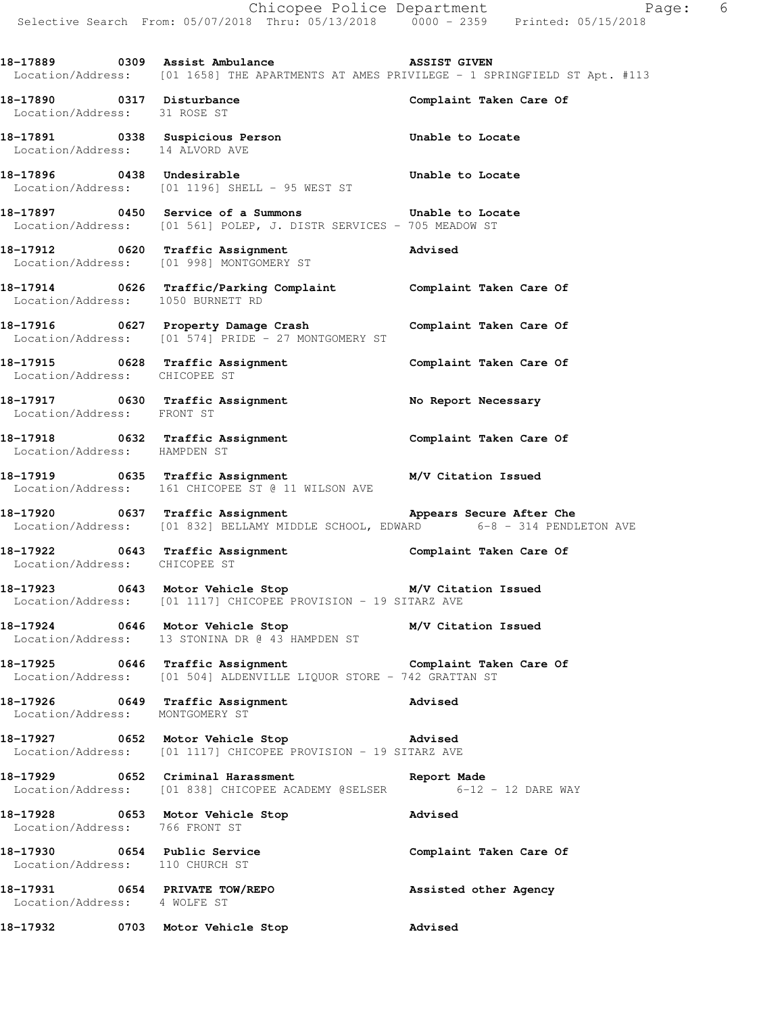**18-17889 0309 Assist Ambulance ASSIST GIVEN**  Location/Address: [01 1658] THE APARTMENTS AT AMES PRIVILEGE - 1 SPRINGFIELD ST Apt. #113

**18-17890 0317 Disturbance Complaint Taken Care Of**  Location/Address: 31 ROSE ST

**18-17891 0338 Suspicious Person Unable to Locate**  Location/Address: 14 ALVORD AVE

**18-17896 0438 Undesirable Unable to Locate**  Location/Address: [01 1196] SHELL - 95 WEST ST

**18-17897 0450 Service of a Summons Unable to Locate**  Location/Address: [01 561] POLEP, J. DISTR SERVICES - 705 MEADOW ST

**18-17912 0620 Traffic Assignment Advised**  Location/Address: [01 998] MONTGOMERY ST

**18-17914 0626 Traffic/Parking Complaint Complaint Taken Care Of**  Location/Address: 1050 BURNETT RD

**18-17916 0627 Property Damage Crash Complaint Taken Care Of**  Location/Address: [01 574] PRIDE - 27 MONTGOMERY ST

**18-17915 0628 Traffic Assignment Complaint Taken Care Of**  Location/Address: CHICOPEE ST

**18-17917 0630 Traffic Assignment No Report Necessary**  Location/Address: FRONT ST

**18-17918 0632 Traffic Assignment Complaint Taken Care Of**  Location/Address: HAMPDEN ST

**18-17919 0635 Traffic Assignment M/V Citation Issued**  Location/Address: 161 CHICOPEE ST @ 11 WILSON AVE

18-17920 **18-17920** 0637 Traffic Assignment **Appears Secure After Che** Location/Address: [01 832] BELLAMY MIDDLE SCHOOL, EDWARD 6-8 - 314 PENDLETON AVE

**18-17922 0643 Traffic Assignment Complaint Taken Care Of**  Location/Address: CHICOPEE ST

**18-17923 0643 Motor Vehicle Stop M/V Citation Issued**  Location/Address: [01 1117] CHICOPEE PROVISION - 19 SITARZ AVE

**18-17924 0646 Motor Vehicle Stop M/V Citation Issued**  Location/Address: 13 STONINA DR @ 43 HAMPDEN ST

**18-17925 0646 Traffic Assignment Complaint Taken Care Of**  Location/Address: [01 504] ALDENVILLE LIQUOR STORE - 742 GRATTAN ST

**18-17926 0649 Traffic Assignment Advised**  Location/Address: MONTGOMERY ST

**18-17927 0652 Motor Vehicle Stop Advised**  Location/Address: [01 1117] CHICOPEE PROVISION - 19 SITARZ AVE

**18-17929 0652 Criminal Harassment Report Made**  Location/Address: [01 838] CHICOPEE ACADEMY @SELSER 6-12 - 12 DARE WAY

**18-17928 0653 Motor Vehicle Stop 18-17928 Advised**<br>
Location/Address: 766 FRONT ST Location/Address:

18-17930 0654 Public Service **Complaint Taken Care Of** Location/Address: 110 CHURCH ST

**18-17931 0654 PRIVATE TOW/REPO Assisted other Agency**  Location/Address: 4 WOLFE ST

**18-17932 0703 Motor Vehicle Stop Advised**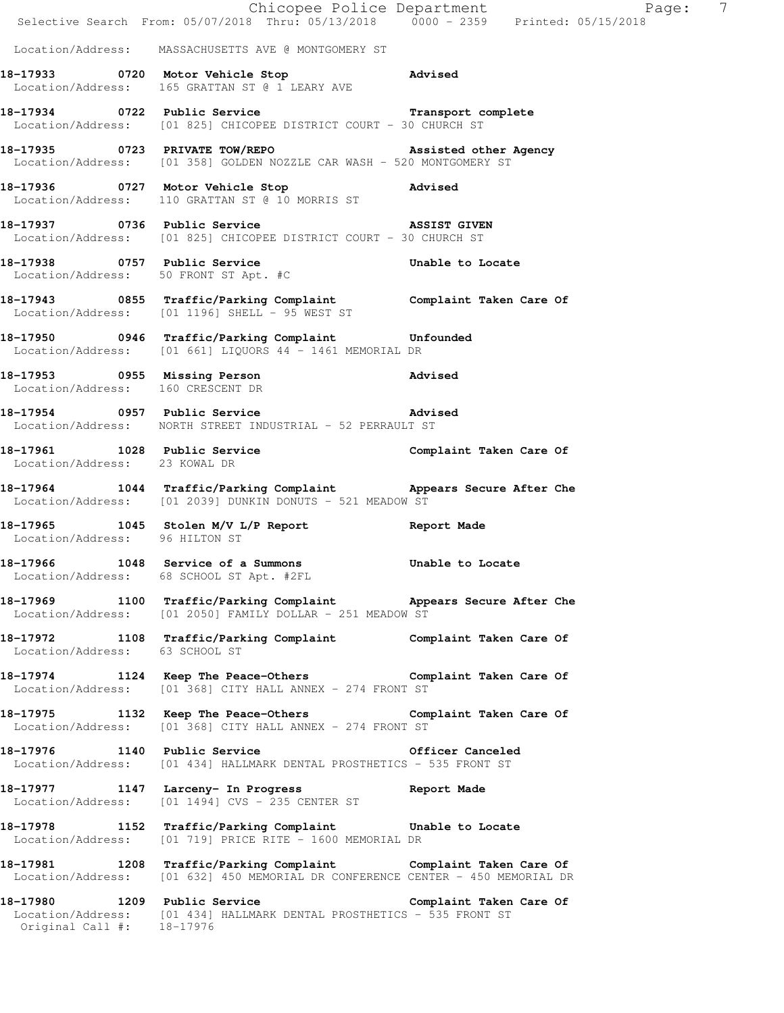|                                       | Chicopee Police Department<br>Selective Search From: 05/07/2018 Thru: 05/13/2018 0000 - 2359 Printed: 05/15/2018                                           | Page: 7                 |
|---------------------------------------|------------------------------------------------------------------------------------------------------------------------------------------------------------|-------------------------|
|                                       | Location/Address: MASSACHUSETTS AVE @ MONTGOMERY ST                                                                                                        |                         |
|                                       | 18-17933 0720 Motor Vehicle Stop 318-17933<br>Location/Address: 165 GRATTAN ST @ 1 LEARY AVE                                                               |                         |
|                                       | 18-17934 0722 Public Service Complete Transport complete<br>Location/Address: [01 825] CHICOPEE DISTRICT COURT - 30 CHURCH ST                              |                         |
|                                       | 18-17935 0723 PRIVATE TOW/REPO 2000 Assisted other Agency<br>Location/Address: [01 358] GOLDEN NOZZLE CAR WASH - 520 MONTGOMERY ST                         |                         |
|                                       | 18-17936 0727 Motor Vehicle Stop 318-17936<br>Location/Address: 110 GRATTAN ST @ 10 MORRIS ST                                                              |                         |
| 18-17937 0736 Public Service          | ASSIST GIVEN<br>Location/Address: [01 825] CHICOPEE DISTRICT COURT - 30 CHURCH ST                                                                          |                         |
| Location/Address: 50 FRONT ST Apt. #C | 18-17938 18-17938 0757 Public Service 2011                                                                                                                 |                         |
|                                       | 18-17943 0855 Traffic/Parking Complaint Complaint Taken Care Of<br>Location/Address: [01 1196] SHELL - 95 WEST ST                                          |                         |
|                                       | 18-17950 0946 Traffic/Parking Complaint Unfounded<br>Location/Address: [01 661] LIQUORS 44 - 1461 MEMORIAL DR                                              |                         |
| Location/Address: 160 CRESCENT DR     | 18-17953 0955 Missing Person                                                                                                                               | <b>Advised</b>          |
|                                       | 18-17954 0957 Public Service and Movised<br>Location/Address: NORTH STREET INDUSTRIAL - 52 PERRAULT ST                                                     |                         |
| Location/Address: 23 KOWAL DR         | 18-17961 1028 Public Service                                                                                                                               | Complaint Taken Care Of |
|                                       | 18-17964 1044 Traffic/Parking Complaint Appears Secure After Che<br>Location/Address: [01 2039] DUNKIN DONUTS - 521 MEADOW ST                              |                         |
| Location/Address: 96 HILTON ST        | 18-17965 1045 Stolen M/V L/P Report                                                                                                                        | Report Made             |
| 18-17966                              | 1048 Service of a Summons<br>Location/Address: 68 SCHOOL ST Apt. #2FL                                                                                      | Unable to Locate        |
|                                       | 18-17969 1100 Traffic/Parking Complaint Appears Secure After Che<br>Location/Address: [01 2050] FAMILY DOLLAR - 251 MEADOW ST                              |                         |
| Location/Address: 63 SCHOOL ST        | 18-17972 1108 Traffic/Parking Complaint Complaint Taken Care Of                                                                                            |                         |
|                                       | 18-17974 1124 Keep The Peace-Others Complaint Taken Care Of<br>Location/Address: [01 368] CITY HALL ANNEX - 274 FRONT ST                                   |                         |
|                                       | 18-17975 1132 Keep The Peace-Others Complaint Taken Care Of<br>Location/Address: [01 368] CITY HALL ANNEX - 274 FRONT ST                                   |                         |
|                                       | 18-17976 1140 Public Service 6 officer Canceled<br>Location/Address: [01 434] HALLMARK DENTAL PROSTHETICS - 535 FRONT ST                                   |                         |
|                                       | 18-17977 1147 Larceny- In Progress 8 Report Made<br>Location/Address: [01 1494] CVS - 235 CENTER ST                                                        |                         |
|                                       | 18-17978 1152 Traffic/Parking Complaint Unable to Locate<br>Location/Address: [01 719] PRICE RITE - 1600 MEMORIAL DR                                       |                         |
|                                       | 18-17981 1208 Traffic/Parking Complaint Complaint Taken Care Of<br>Location/Address: [01 632] 450 MEMORIAL DR CONFERENCE CENTER - 450 MEMORIAL DR          |                         |
|                                       | 18-17980 1209 Public Service Complaint Taken Care Of<br>Location/Address: [01 434] HALLMARK DENTAL PROSTHETICS - 535 FRONT ST<br>Original Call #: 18-17976 |                         |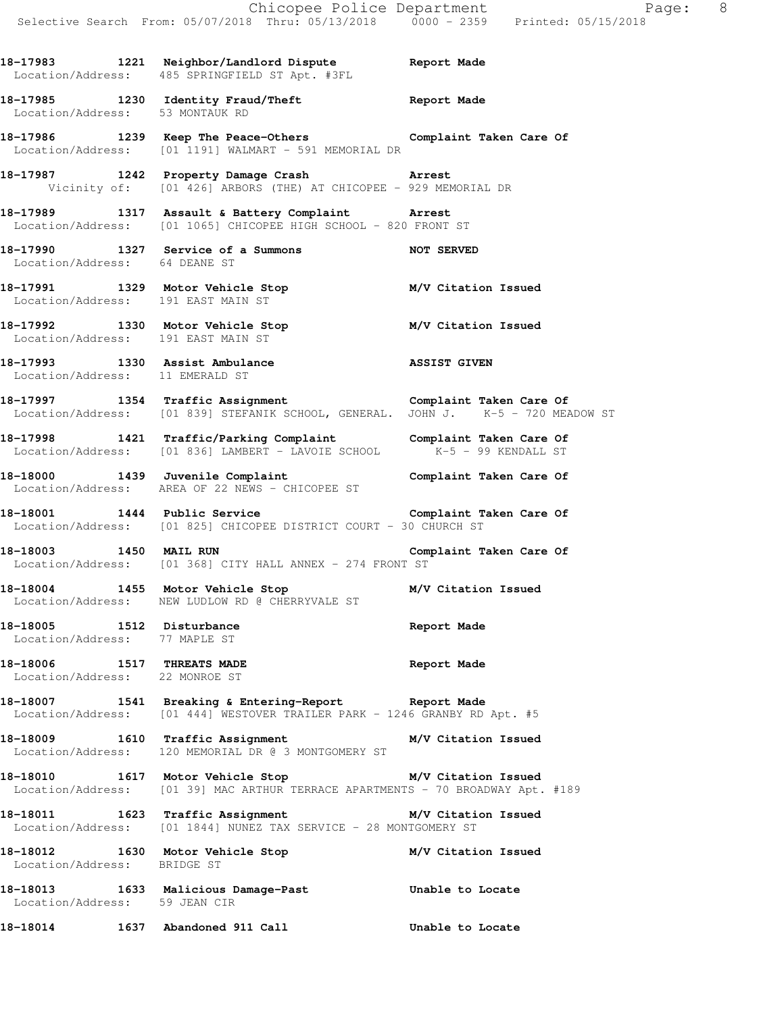**18-17983 1221 Neighbor/Landlord Dispute Report Made** 

Location/Address: 485 SPRINGFIELD ST Apt. #3FL

**18-17985 1230 Identity Fraud/Theft Report Made**  Location/Address: 53 MONTAUK RD **18-17986 1239 Keep The Peace-Others Complaint Taken Care Of**  Location/Address: [01 1191] WALMART - 591 MEMORIAL DR **18-17987 1242 Property Damage Crash Arrest**  Vicinity of: [01 426] ARBORS (THE) AT CHICOPEE - 929 MEMORIAL DR **18-17989 1317 Assault & Battery Complaint Arrest**  Location/Address: [01 1065] CHICOPEE HIGH SCHOOL - 820 FRONT ST **18-17990 1327 Service of a Summons NOT SERVED**  Location/Address: 64 DEANE ST **18-17991 1329 Motor Vehicle Stop M/V Citation Issued**  Location/Address: 191 EAST MAIN ST **18-17992 1330 Motor Vehicle Stop M/V Citation Issued**  Location/Address: 191 EAST MAIN ST **18-17993 1330 Assist Ambulance ASSIST GIVEN**  Location/Address: 11 EMERALD ST **18-17997 1354 Traffic Assignment Complaint Taken Care Of**  Location/Address: [01 839] STEFANIK SCHOOL, GENERAL. JOHN J. K-5 - 720 MEADOW ST **18-17998 1421 Traffic/Parking Complaint Complaint Taken Care Of**  Location/Address: [01 836] LAMBERT - LAVOIE SCHOOL K-5 - 99 KENDALL ST **18-18000 1439 Juvenile Complaint Complaint Taken Care Of**  Location/Address: AREA OF 22 NEWS - CHICOPEE ST 18-18001 1444 Public Service **Complaint Taken Care Of**  Location/Address: [01 825] CHICOPEE DISTRICT COURT - 30 CHURCH ST **18-18003 1450 MAIL RUN Complaint Taken Care Of**  Location/Address: [01 368] CITY HALL ANNEX - 274 FRONT ST **18-18004 1455 Motor Vehicle Stop M/V Citation Issued**  Location/Address: NEW LUDLOW RD @ CHERRYVALE ST **18-18005 1512 Disturbance Report Made**  Location/Address: 77 MAPLE ST **18-18006 1517 THREATS MADE Report Made**  Location/Address: 22 MONROE ST **18-18007 1541 Breaking & Entering-Report Report Made**  Location/Address: [01 444] WESTOVER TRAILER PARK - 1246 GRANBY RD Apt. #5 **18-18009 1610 Traffic Assignment M/V Citation Issued**  Location/Address: 120 MEMORIAL DR @ 3 MONTGOMERY ST **18-18010 1617 Motor Vehicle Stop M/V Citation Issued**  Location/Address: [01 39] MAC ARTHUR TERRACE APARTMENTS - 70 BROADWAY Apt. #189 **18-18011 1623 Traffic Assignment M/V Citation Issued**  Location/Address: [01 1844] NUNEZ TAX SERVICE - 28 MONTGOMERY ST **18-18012 1630 Motor Vehicle Stop M/V Citation Issued**  Location/Address: BRIDGE ST **18-18013 1633 Malicious Damage-Past Unable to Locate**  Location/Address: 59 JEAN CIR

**18-18014 1637 Abandoned 911 Call Unable to Locate**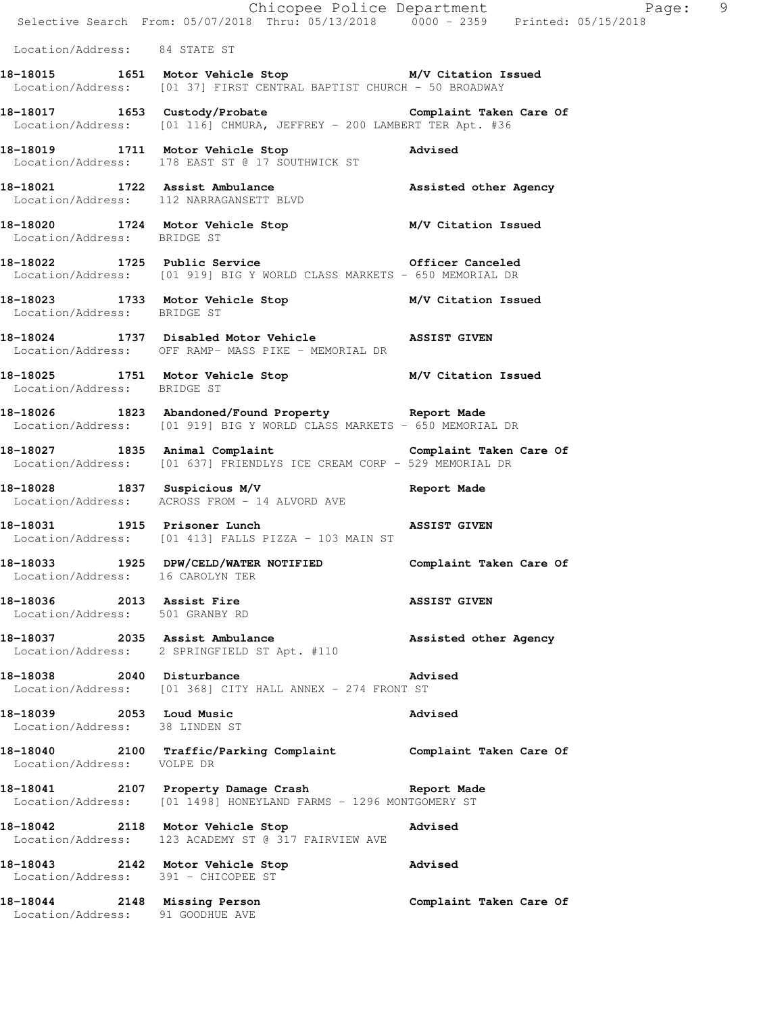|                                                              | Chicopee Police Department<br>Selective Search From: 05/07/2018 Thru: 05/13/2018 0000 - 2359 Printed: 05/15/2018                           |                         |
|--------------------------------------------------------------|--------------------------------------------------------------------------------------------------------------------------------------------|-------------------------|
| Location/Address: 84 STATE ST                                |                                                                                                                                            |                         |
|                                                              | 18-18015 1651 Motor Vehicle Stop M/V Citation Issued<br>Location/Address: [01 37] FIRST CENTRAL BAPTIST CHURCH - 50 BROADWAY               |                         |
|                                                              | 18-18017 1653 Custody/Probate Complaint Taken Care Of Location/Address: [01 116] CHMURA, JEFFREY - 200 LAMBERT TER Apt. #36                |                         |
|                                                              | 18-18019 1711 Motor Vehicle Stop Advised<br>Location/Address: 178 EAST ST @ 17 SOUTHWICK ST                                                |                         |
|                                                              | 18-18021 1722 Assist Ambulance 18 Assisted other Agency<br>Location/Address: 112 NARRAGANSETT BLVD                                         |                         |
| Location/Address: BRIDGE ST                                  | 18-18020 1724 Motor Vehicle Stop M/V Citation Issued                                                                                       |                         |
|                                                              | 18-18022 1725 Public Service <b>18-18022</b> 1725 Public Service<br>Location/Address: [01 919] BIG Y WORLD CLASS MARKETS - 650 MEMORIAL DR |                         |
| Location/Address: BRIDGE ST                                  | 18-18023 1733 Motor Vehicle Stop M/V Citation Issued                                                                                       |                         |
|                                                              | 18-18024 1737 Disabled Motor Vehicle ASSIST GIVEN<br>Location/Address: OFF RAMP- MASS PIKE - MEMORIAL DR                                   |                         |
| Location/Address: BRIDGE ST                                  | 18-18025 1751 Motor Vehicle Stop M/V Citation Issued                                                                                       |                         |
|                                                              | 18-18026 1823 Abandoned/Found Property Report Made<br>Location/Address: [01 919] BIG Y WORLD CLASS MARKETS - 650 MEMORIAL DR               |                         |
|                                                              | 18-18027 1835 Animal Complaint 18 Complaint Taken Care Of<br>Location/Address: [01 637] FRIENDLYS ICE CREAM CORP - 529 MEMORIAL DR         |                         |
|                                                              | 18-18028 1837 Suspicious M/V Report Made<br>Location/Address: ACROSS FROM - 14 ALVORD AVE                                                  |                         |
| 18-18031 1915 Prisoner Lunch                                 | Location/Address: [01 413] FALLS PIZZA - 103 MAIN ST                                                                                       | <b>ASSIST GIVEN</b>     |
| Location/Address: 16 CAROLYN TER                             | 18-18033 1925 DPW/CELD/WATER NOTIFIED Complaint Taken Care Of                                                                              |                         |
| 18-18036 2013 Assist Fire<br>Location/Address: 501 GRANBY RD |                                                                                                                                            | <b>ASSIST GIVEN</b>     |
|                                                              | 18-18037 2035 Assist Ambulance<br>Location/Address: 2 SPRINGFIELD ST Apt. #110                                                             | Assisted other Agency   |
| 18-18038 2040 Disturbance                                    | Location/Address: [01 368] CITY HALL ANNEX - 274 FRONT ST                                                                                  | Advised                 |
| 18-18039 2053 Loud Music<br>Location/Address: 38 LINDEN ST   |                                                                                                                                            | Advised                 |
| Location/Address: VOLPE DR                                   | 18-18040 2100 Traffic/Parking Complaint Complaint Taken Care Of                                                                            |                         |
|                                                              | 18-18041 2107 Property Damage Crash Report Made<br>Location/Address: [01 1498] HONEYLAND FARMS - 1296 MONTGOMERY ST                        |                         |
|                                                              | 18-18042 2118 Motor Vehicle Stop<br>Location/Address: 123 ACADEMY ST @ 317 FAIRVIEW AVE<br><b>Example 2018</b> Advised                     |                         |
|                                                              | 18-18043 2142 Motor Vehicle Stop<br>Location/Address: 391 - CHICOPEE ST                                                                    | Advised                 |
| 18-18044 2148 Missing Person                                 |                                                                                                                                            | Complaint Taken Care Of |

Location/Address: 91 GOODHUE AVE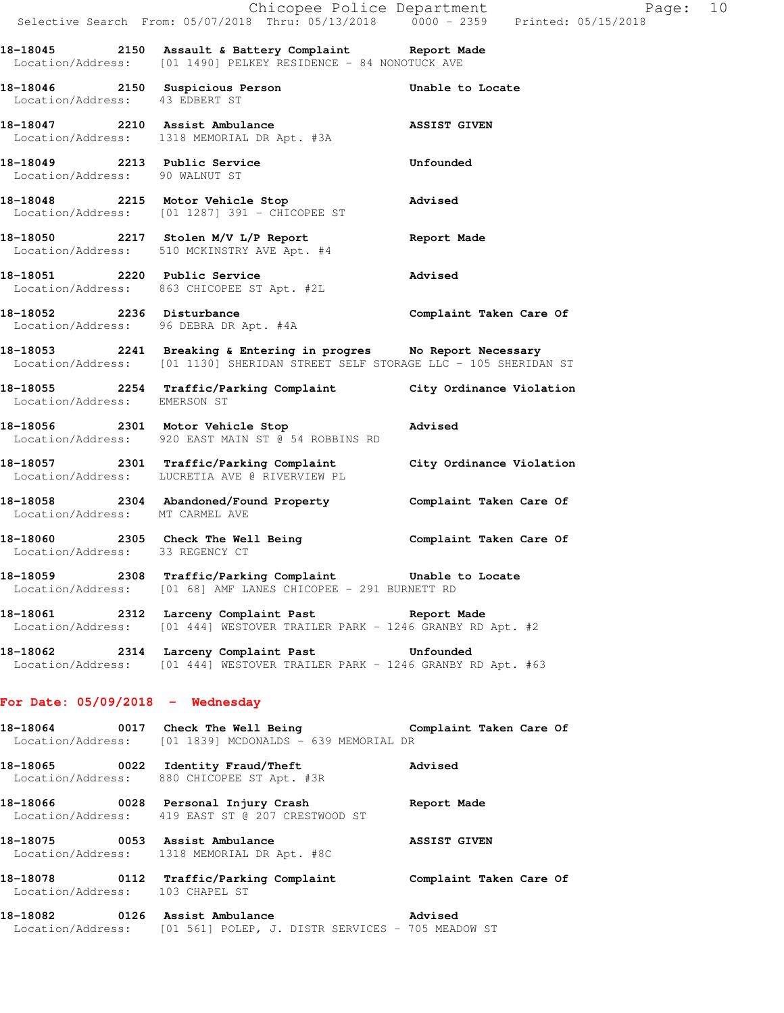|                                    | Chicopee Police Department<br>Selective Search From: 05/07/2018 Thru: 05/13/2018 0000 - 2359 Printed: 05/15/2018                                   |                          |
|------------------------------------|----------------------------------------------------------------------------------------------------------------------------------------------------|--------------------------|
|                                    | 18-18045 2150 Assault & Battery Complaint Report Made<br>Location/Address: [01 1490] PELKEY RESIDENCE - 84 NONOTUCK AVE                            |                          |
| Location/Address: 43 EDBERT ST     | 18-18046 2150 Suspicious Person                                                                                                                    | Unable to Locate         |
|                                    | 18-18047 2210 Assist Ambulance<br>Location/Address: 1318 MEMORIAL DR Apt. #3A                                                                      | <b>ASSIST GIVEN</b>      |
| Location/Address: 90 WALNUT ST     | 18-18049 2213 Public Service                                                                                                                       | Unfounded                |
|                                    | 18-18048 2215 Motor Vehicle Stop<br>Location/Address: [01 1287] 391 - CHICOPEE ST                                                                  | Advised                  |
|                                    | 18-18050 2217 Stolen M/V L/P Report Neport Nade<br>Location/Address: 510 MCKINSTRY AVE Apt. #4                                                     |                          |
| 18-18051 2220 Public Service       | Location/Address: 863 CHICOPEE ST Apt. #2L                                                                                                         | Advised                  |
|                                    | 18-18052 2236 Disturbance<br>Location/Address: 96 DEBRA DR Apt. #4A                                                                                | Complaint Taken Care Of  |
|                                    | 18-18053 2241 Breaking & Entering in progres No Report Necessary<br>Location/Address: [01 1130] SHERIDAN STREET SELF STORAGE LLC - 105 SHERIDAN ST |                          |
| Location/Address: EMERSON ST       | 18-18055 2254 Traffic/Parking Complaint City Ordinance Violation                                                                                   |                          |
|                                    | 18-18056 2301 Motor Vehicle Stop<br>Location/Address: 920 EAST MAIN ST @ 54 ROBBINS RD                                                             | Advised                  |
|                                    | 18-18057 2301 Traffic/Parking Complaint<br>Location/Address: LUCRETIA AVE @ RIVERVIEW PL                                                           | City Ordinance Violation |
| Location/Address: MT CARMEL AVE    | 18-18058 2304 Abandoned/Found Property                                                                                                             | Complaint Taken Care Of  |
| Location/Address: 33 REGENCY CT    | 18-18060 2305 Check The Well Being                                                                                                                 | Complaint Taken Care Of  |
|                                    | 18-18059 18308 Traffic/Parking Complaint Unable to Locate<br>Location/Address: [01 68] AMF LANES CHICOPEE - 291 BURNETT RD                         |                          |
|                                    | 18-18061 2312 Larceny Complaint Past Report Made<br>  Location/Address: [01 444] WESTOVER TRAILER PARK - 1246 GRANBY RD Apt. #2                    |                          |
|                                    | 18-18062 2314 Larceny Complaint Past 18-18062<br>Location/Address: [01 444] WESTOVER TRAILER PARK - 1246 GRANBY RD Apt. #63                        |                          |
| For Date: $05/09/2018$ - Wednesday |                                                                                                                                                    |                          |
| 18-18064                           | 0017 Check The Well Being The Complaint Taken Care Of<br>Location/Address: [01 1839] MCDONALDS - 639 MEMORIAL DR                                   |                          |
|                                    | 18-18065 0022 Identity Fraud/Theft<br>Location/Address: 880 CHICOPEE ST Apt. #3R                                                                   | Advised                  |
|                                    | 18-18066 0028 Personal Injury Crash<br>Location/Address: 419 EAST ST @ 207 CRESTWOOD ST                                                            | Report Made              |
|                                    | 18-18075 0053 Assist Ambulance<br>Location/Address: 1318 MEMORIAL DR Apt. #8C                                                                      | <b>ASSIST GIVEN</b>      |
|                                    |                                                                                                                                                    |                          |

**18-18078 0112 Traffic/Parking Complaint Complaint Taken Care Of**  Location/Address: 103 CHAPEL ST

**18-18082 0126 Assist Ambulance Advised**  Location/Address: [01 561] POLEP, J. DISTR SERVICES - 705 MEADOW ST  $Page: 10$ <br>5/15/2018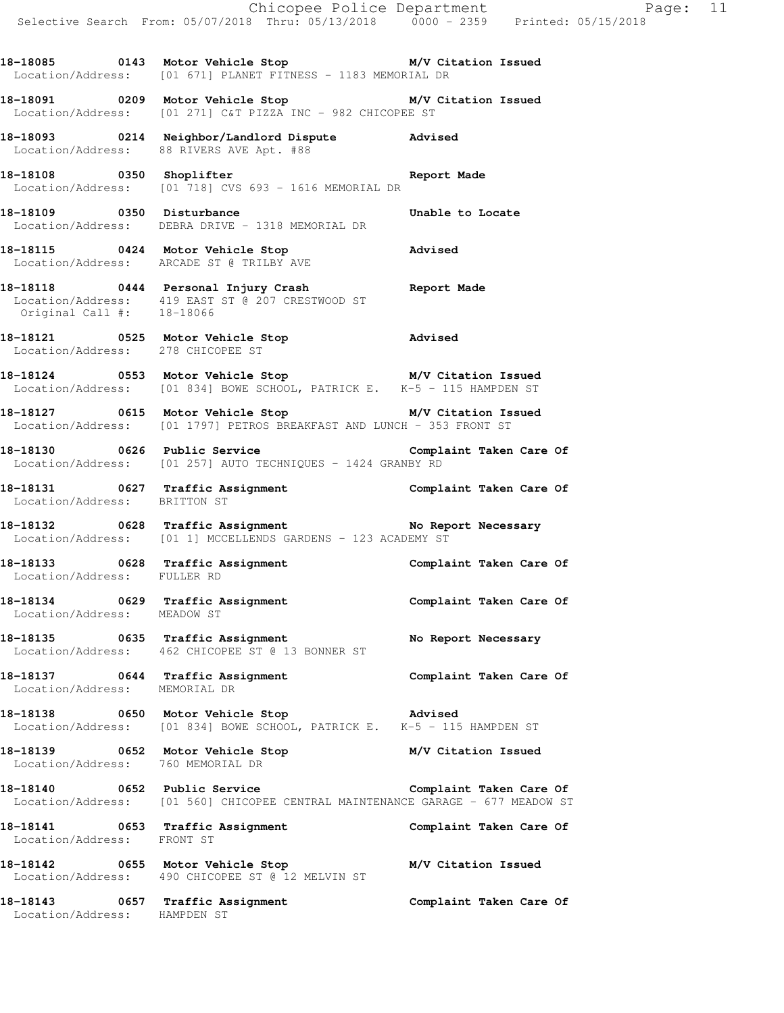**18-18085 0143 Motor Vehicle Stop M/V Citation Issued**  Location/Address: [01 671] PLANET FITNESS - 1183 MEMORIAL DR

**18-18091 0209 Motor Vehicle Stop M/V Citation Issued**  Location/Address: [01 271] C&T PIZZA INC - 982 CHICOPEE ST

**18-18093 0214 Neighbor/Landlord Dispute Advised**  Location/Address: 88 RIVERS AVE Apt. #88

18-18108 0350 Shoplifter **Report Made** Location/Address: [01 718] CVS 693 - 1616 MEMORIAL DR

**18-18109** 0350 Disturbance **18-1810** Unable to Locate Location/Address: DEBRA DRIVE - 1318 MEMORIAL DR

**18-18115 0424 Motor Vehicle Stop Advised**  Location/Address: ARCADE ST @ TRILBY AVE

**18-18118 0444 Personal Injury Crash Report Made**  Location/Address: 419 EAST ST @ 207 CRESTWOOD ST Original Call #: 18-18066

**18-18121 0525 Motor Vehicle Stop Advised**  Location/Address: 278 CHICOPEE ST

**18-18124 0553 Motor Vehicle Stop M/V Citation Issued**  Location/Address: [01 834] BOWE SCHOOL, PATRICK E. K-5 - 115 HAMPDEN ST

**18-18127 0615 Motor Vehicle Stop M/V Citation Issued**  Location/Address: [01 1797] PETROS BREAKFAST AND LUNCH - 353 FRONT ST

**18-18130 0626 Public Service Complaint Taken Care Of**  Location/Address: [01 257] AUTO TECHNIQUES - 1424 GRANBY RD

**18-18131 0627 Traffic Assignment Complaint Taken Care Of**  Location/Address: BRITTON ST

**18-18132 0628 Traffic Assignment No Report Necessary**  Location/Address: [01 1] MCCELLENDS GARDENS - 123 ACADEMY ST

**18-18133 0628 Traffic Assignment Complaint Taken Care Of**  Location/Address: FULLER RD

**18-18134 0629 Traffic Assignment Complaint Taken Care Of**  Location/Address: MEADOW ST

18-18135 **18-18135** 0635 Traffic Assignment 18-18 No Report Necessary Location/Address: 462 CHICOPEE ST @ 13 BONNER ST

**18-18137 0644 Traffic Assignment Complaint Taken Care Of**  Location/Address: MEMORIAL DR

**18-18138 0650 Motor Vehicle Stop Advised**  Location/Address: [01 834] BOWE SCHOOL, PATRICK E. K-5 - 115 HAMPDEN ST

**18-18139 0652 Motor Vehicle Stop M/V Citation Issued**  Location/Address: 760 MEMORIAL DR

Location/Address: HAMPDEN ST

**18-18140 0652 Public Service Complaint Taken Care Of**  Location/Address: [01 560] CHICOPEE CENTRAL MAINTENANCE GARAGE - 677 MEADOW ST

**18-18141 0653 Traffic Assignment Complaint Taken Care Of**  Location/Address: FRONT ST **18-18142 0655 Motor Vehicle Stop M/V Citation Issued** 

 Location/Address: 490 CHICOPEE ST @ 12 MELVIN ST **18-18143 0657 Traffic Assignment Complaint Taken Care Of**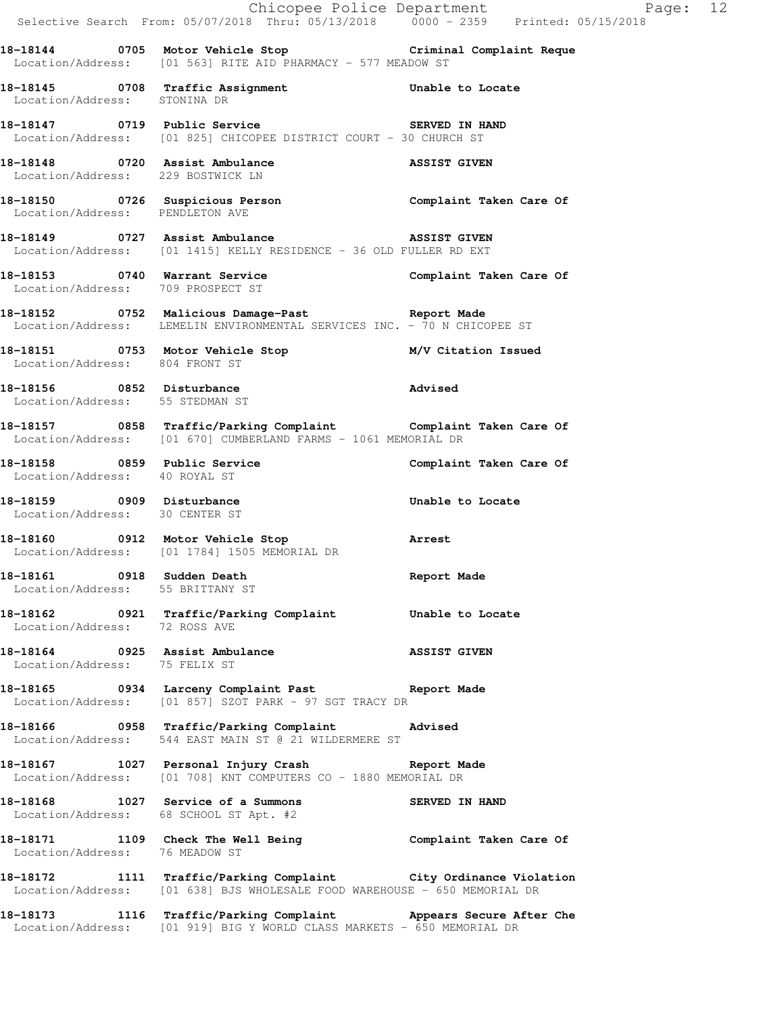|                                                                | Selective Search From: 05/07/2018 Thru: 05/13/2018   0000 - 2359   Printed: 05/15/2018                                                        | Chicopee Police Department<br>Page: 12 |  |
|----------------------------------------------------------------|-----------------------------------------------------------------------------------------------------------------------------------------------|----------------------------------------|--|
|                                                                | 18-18144 0705 Motor Vehicle Stop Criminal Complaint Reque<br>Location/Address: [01 563] RITE AID PHARMACY - 577 MEADOW ST                     |                                        |  |
| Location/Address: STONINA DR                                   | 18-18145 0708 Traffic Assignment Unable to Locate                                                                                             |                                        |  |
|                                                                | 18-18147 0719 Public Service 3 SERVED IN HAND<br>Location/Address: [01 825] CHICOPEE DISTRICT COURT - 30 CHURCH ST                            |                                        |  |
| Location/Address: 229 BOSTWICK LN                              | 18-18148 0720 Assist Ambulance ASSIST GIVEN                                                                                                   |                                        |  |
| Location/Address: PENDLETON AVE                                | 18-18150    0726    Suspicious Person    Complaint Taken Care Of                                                                              |                                        |  |
|                                                                | 18-18149 0727 Assist Ambulance ASSIST GIVEN<br>Location/Address: [01 1415] KELLY RESIDENCE - 36 OLD FULLER RD EXT                             |                                        |  |
| Location/Address: 709 PROSPECT ST                              | 18-18153 0740 Warrant Service Complaint Taken Care Of                                                                                         |                                        |  |
|                                                                | 18-18152 18752 Malicious Damage-Past 18-18152<br>Location/Address: LEMELIN ENVIRONMENTAL SERVICES INC. - 70 N CHICOPEE ST                     |                                        |  |
| Location/Address: 804 FRONT ST                                 | 18-18151 0753 Motor Vehicle Stop M/V Citation Issued                                                                                          |                                        |  |
| Location/Address: 55 STEDMAN ST                                | <br> 18-18156 0852 Disturbance 1980 Movised                                                                                                   |                                        |  |
|                                                                | 18-18157 0858 Traffic/Parking Complaint Complaint Taken Care Of<br>Location/Address: [01 670] CUMBERLAND FARMS - 1061 MEMORIAL DR             |                                        |  |
| Location/Address: 40 ROYAL ST                                  | 18-18158 0859 Public Service                                                                                                                  | Complaint Taken Care Of                |  |
| Location/Address: 30 CENTER ST                                 | 18-18159 0909 Disturbance                                                                                                                     | Unable to Locate                       |  |
|                                                                | 18-18160 0912 Motor Vehicle Stop <b>Arrest</b><br>Location/Address: [01 1784] 1505 MEMORIAL DR                                                |                                        |  |
| 18-18161 0918 Sudden Death<br>Location/Address: 55 BRITTANY ST |                                                                                                                                               | Report Made                            |  |
|                                                                | 18-18162   0921   Traffic/Parking Complaint   Unable to Locate Location/Address: 72   ROSS AVE                                                |                                        |  |
|                                                                | 18-18164 0925 Assist Ambulance ASSIST GIVEN Location/Address: 75 FELIX ST                                                                     |                                        |  |
|                                                                | 18-18165 0934 Larceny Complaint Past Report Made<br>Location/Address: [01 857] SZOT PARK - 97 SGT TRACY DR                                    |                                        |  |
|                                                                | 18-18166 0958 Traffic/Parking Complaint Advised<br>Location/Address: 544 EAST MAIN ST @ 21 WILDERMERE ST                                      |                                        |  |
|                                                                | 18-18167 1027 Personal Injury Crash Report Made<br>Location/Address: [01 708] KNT COMPUTERS CO - 1880 MEMORIAL DR                             |                                        |  |
|                                                                | 18-18168 1027 Service of a Summons SERVED IN HAND<br>Location/Address: 68 SCHOOL ST Apt. #2                                                   |                                        |  |
| Location/Address: 76 MEADOW ST                                 | 18-18171 1109 Check The Well Being Complaint Taken Care Of                                                                                    |                                        |  |
|                                                                | 18-18172 1111 Traffic/Parking Complaint City Ordinance Violation<br>Location/Address: [01 638] BJS WHOLESALE FOOD WAREHOUSE - 650 MEMORIAL DR |                                        |  |
|                                                                | 18-18173 1116 Traffic/Parking Complaint Appears Secure After Che<br>Location/Address: [01 919] BIG Y WORLD CLASS MARKETS - 650 MEMORIAL DR    |                                        |  |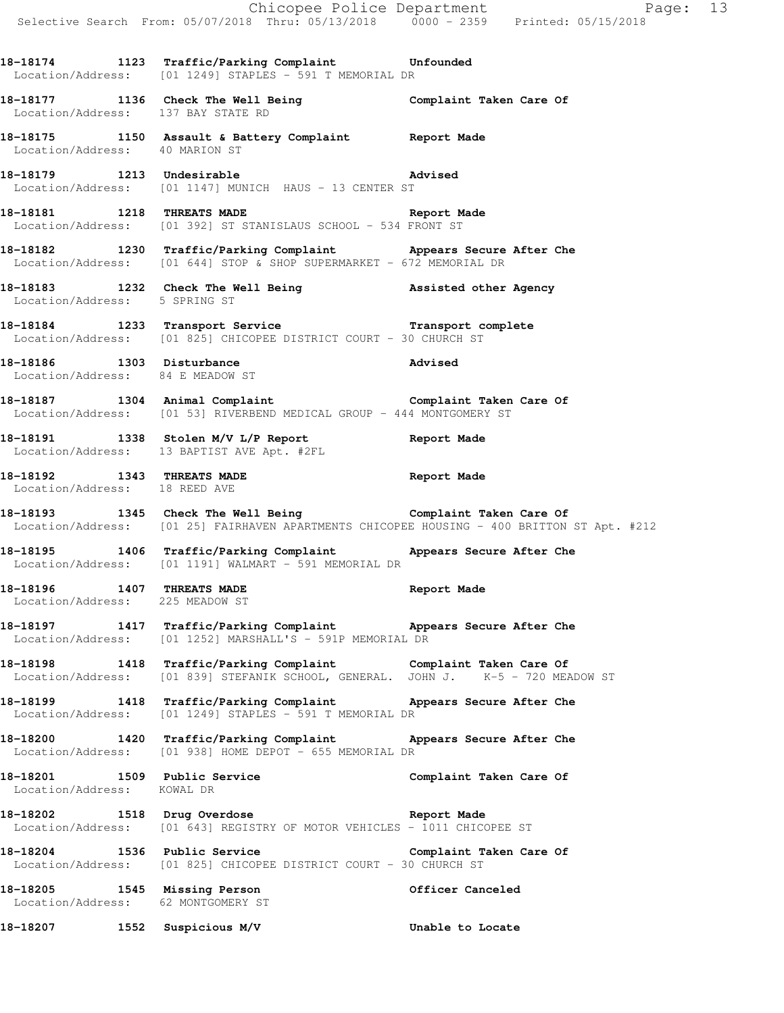**18-18174 1123 Traffic/Parking Complaint Unfounded**  Location/Address: [01 1249] STAPLES - 591 T MEMORIAL DR

**18-18177 1136 Check The Well Being Complaint Taken Care Of**  Location/Address: 137 BAY STATE RD

**18-18175 1150 Assault & Battery Complaint Report Made**  Location/Address: 40 MARION ST

**18-18179 1213 Undesirable Advised**  Location/Address: [01 1147] MUNICH HAUS - 13 CENTER ST

**18-18181 1218 THREATS MADE Report Made**  Location/Address: [01 392] ST STANISLAUS SCHOOL - 534 FRONT ST

**18-18182 1230 Traffic/Parking Complaint Appears Secure After Che**  Location/Address: [01 644] STOP & SHOP SUPERMARKET - 672 MEMORIAL DR

**18-18183 1232 Check The Well Being Assisted other Agency**  Location/Address: 5 SPRING ST

**18-18184 1233 Transport Service Transport complete**  Location/Address: [01 825] CHICOPEE DISTRICT COURT - 30 CHURCH ST

**18-18186 1303 Disturbance Advised**  Location/Address: 84 E MEADOW ST

**18-18187 1304 Animal Complaint Complaint Taken Care Of**  Location/Address: [01 53] RIVERBEND MEDICAL GROUP - 444 MONTGOMERY ST

**18-18191 1338 Stolen M/V L/P Report Report Made**  Location/Address: 13 BAPTIST AVE Apt. #2FL

**18-18192 1343 THREATS MADE Report Made**  Location/Address: 18 REED AVE

**18-18193 1345 Check The Well Being Complaint Taken Care Of**  Location/Address: [01 25] FAIRHAVEN APARTMENTS CHICOPEE HOUSING - 400 BRITTON ST Apt. #212

**18-18195 1406 Traffic/Parking Complaint Appears Secure After Che**  Location/Address: [01 1191] WALMART - 591 MEMORIAL DR

**18-18196 1407 THREATS MADE Report Made**  Location/Address: 225 MEADOW ST

**18-18197 1417 Traffic/Parking Complaint Appears Secure After Che**  Location/Address: [01 1252] MARSHALL'S - 591P MEMORIAL DR

**18-18198 1418 Traffic/Parking Complaint Complaint Taken Care Of**  Location/Address: [01 839] STEFANIK SCHOOL, GENERAL. JOHN J. K-5 - 720 MEADOW ST

**18-18199 1418 Traffic/Parking Complaint Appears Secure After Che**  Location/Address: [01 1249] STAPLES - 591 T MEMORIAL DR

**18-18200 1420 Traffic/Parking Complaint Appears Secure After Che**  Location/Address: [01 938] HOME DEPOT - 655 MEMORIAL DR

**18-18201 1509 Public Service Complaint Taken Care Of**  Location/Address: KOWAL DR

**18-18202 1518 Drug Overdose Report Made**  Location/Address: [01 643] REGISTRY OF MOTOR VEHICLES - 1011 CHICOPEE ST

18-18204 1536 Public Service **1886 Complaint Taken Care Of** Complaint Taken Care Of Location/Address: [01 825] CHICOPEE DISTRICT COURT - 30 CHURCH ST

**18-18205 1545 Missing Person Officer Canceled**  Location/Address: 62 MONTGOMERY ST

**18-18207 1552 Suspicious M/V Unable to Locate**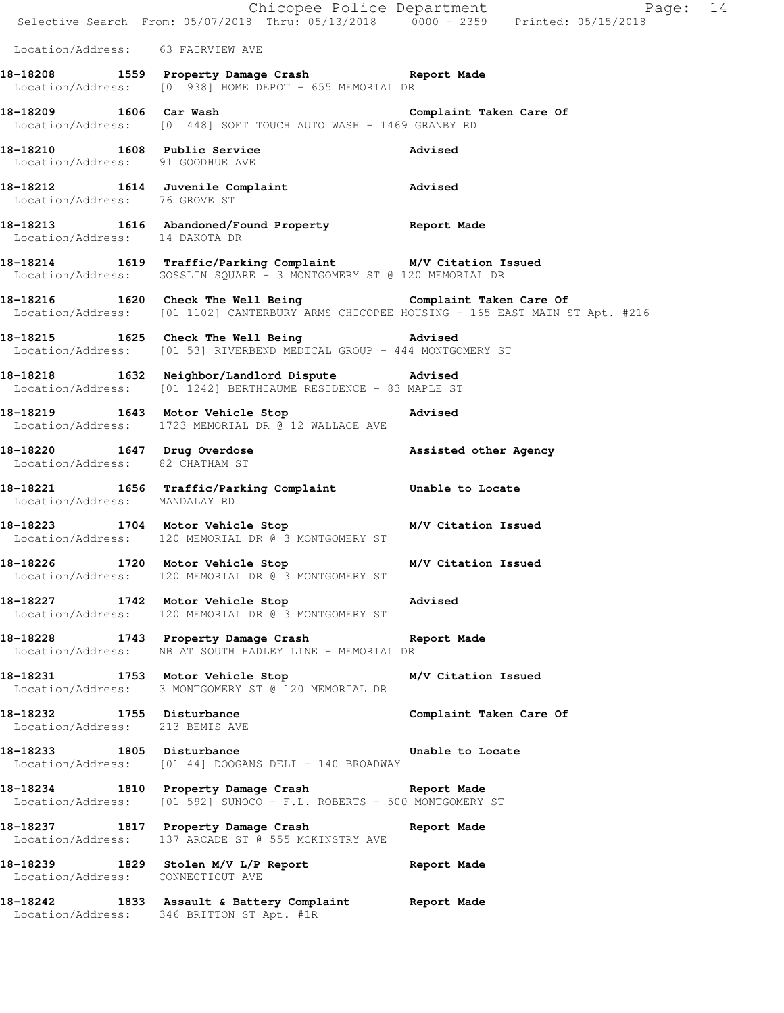|                                                              | E Chicopee Police Department<br>Selective Search From: 05/07/2018 Thru: 05/13/2018 0000 - 2359 Printed: 05/15/2018                                      | Page: 14                |
|--------------------------------------------------------------|---------------------------------------------------------------------------------------------------------------------------------------------------------|-------------------------|
|                                                              |                                                                                                                                                         |                         |
| Location/Address: 63 FAIRVIEW AVE                            |                                                                                                                                                         |                         |
|                                                              | 18-18208 1559 Property Damage Crash Report Made<br>Location/Address: [01 938] HOME DEPOT - 655 MEMORIAL DR                                              |                         |
|                                                              | 18-18209 1606 Car Wash Complaint Taken Care Of<br>Location/Address: [01 448] SOFT TOUCH AUTO WASH - 1469 GRANBY RD                                      |                         |
| Location/Address: 91 GOODHUE AVE                             | 18-18210 1608 Public Service                                                                                                                            | Advised                 |
| Location/Address: 76 GROVE ST                                | 18-18212 1614 Juvenile Complaint Advised                                                                                                                |                         |
| Location/Address: 14 DAKOTA DR                               | 18-18213 1616 Abandoned/Found Property Report Made                                                                                                      |                         |
|                                                              | 18-18214 1619 Traffic/Parking Complaint M/V Citation Issued<br>Location/Address: GOSSLIN SQUARE - 3 MONTGOMERY ST @ 120 MEMORIAL DR                     |                         |
|                                                              | 18-18216 1620 Check The Well Being Complaint Taken Care Of<br>Location/Address: [01 1102] CANTERBURY ARMS CHICOPEE HOUSING - 165 EAST MAIN ST Apt. #216 |                         |
|                                                              | 18-18215 1625 Check The Well Being 30 Marised<br>Location/Address: [01 53] RIVERBEND MEDICAL GROUP - 444 MONTGOMERY ST                                  |                         |
|                                                              | 18-18218 1632 Neighbor/Landlord Dispute Advised<br>Location/Address: [01 1242] BERTHIAUME RESIDENCE - 83 MAPLE ST                                       |                         |
|                                                              | 18-18219 1643 Motor Vehicle Stop 318-18219<br>Location/Address: 1723 MEMORIAL DR @ 12 WALLACE AVE                                                       |                         |
| Location/Address: 82 CHATHAM ST                              | 18-18220 1647 Drug Overdose                                                                                                                             | Assisted other Agency   |
| Location/Address: MANDALAY RD                                | 18-18221 1656 Traffic/Parking Complaint Unable to Locate                                                                                                |                         |
|                                                              | 18-18223 1704 Motor Vehicle Stop M/V Citation Issued<br>Location/Address: 120 MEMORIAL DR @ 3 MONTGOMERY ST                                             |                         |
| 18-18226 1720 Motor Vehicle Stop                             | Location/Address: 120 MEMORIAL DR @ 3 MONTGOMERY ST                                                                                                     | M/V Citation Issued     |
|                                                              | 18-18227 1742 Motor Vehicle Stop<br>Location/Address: 120 MEMORIAL DR @ 3 MONTGOMERY ST                                                                 | Advised                 |
|                                                              | 18-18228 1743 Property Damage Crash Report Made<br>Location/Address: NB AT SOUTH HADLEY LINE - MEMORIAL DR                                              |                         |
|                                                              | 18-18231 1753 Motor Vehicle Stop<br>Location/Address: 3 MONTGOMERY ST @ 120 MEMORIAL DR                                                                 | M/V Citation Issued     |
| 18-18232 1755 Disturbance<br>Location/Address: 213 BEMIS AVE |                                                                                                                                                         | Complaint Taken Care Of |
|                                                              | 18-18233 1805 Disturbance<br>Location/Address: [01 44] DOOGANS DELI - 140 BROADWAY                                                                      | Unable to Locate        |
|                                                              | 18-18234 1810 Property Damage Crash Report Made<br>Location/Address: [01 592] SUNOCO - F.L. ROBERTS - 500 MONTGOMERY ST                                 |                         |
|                                                              | 18-18237 1817 Property Damage Crash<br>Location/Address: 137 ARCADE ST @ 555 MCKINSTRY AVE                                                              | Report Made             |
| Location/Address: CONNECTICUT AVE                            | 18-18239 1829 Stolen M/V L/P Report                                                                                                                     | Report Made             |
|                                                              | 18-18242 1833 Assault & Battery Complaint Report Made<br>Location/Address: 346 BRITTON ST Apt. #1R                                                      |                         |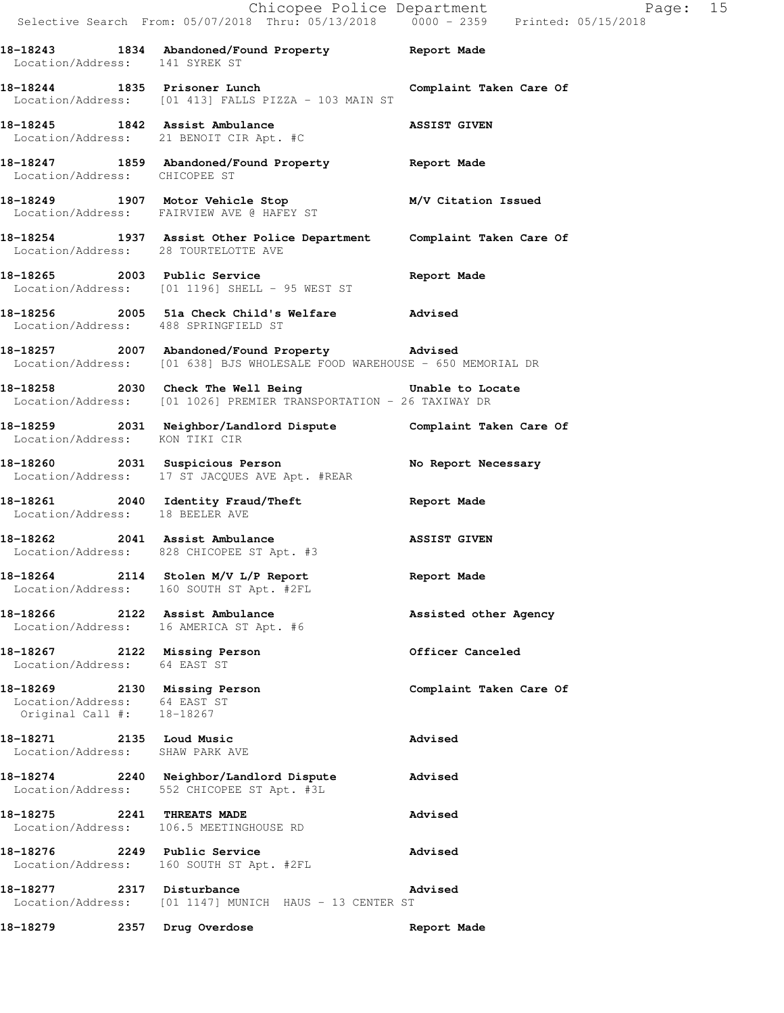Chicopee Police Department Fage: 15 Selective Search From: 05/07/2018 Thru: 05/13/2018 0000 - 2359 Printed: 05/15/2018 **18-18243 1834 Abandoned/Found Property Report Made**  Location/Address: 141 SYREK ST **18-18244 1835 Prisoner Lunch Complaint Taken Care Of**  Location/Address: [01 413] FALLS PIZZA - 103 MAIN ST **18-18245 1842 Assist Ambulance ASSIST GIVEN**  Location/Address: 21 BENOIT CIR Apt. #C **18-18247 1859 Abandoned/Found Property Report Made**  Location/Address: CHICOPEE ST **18-18249 1907 Motor Vehicle Stop M/V Citation Issued**  Location/Address: FAIRVIEW AVE @ HAFEY ST **18-18254 1937 Assist Other Police Department Complaint Taken Care Of**  Location/Address: 28 TOURTELOTTE AVE **18-18265 2003 Public Service Report Made**  Location/Address: [01 1196] SHELL - 95 WEST ST **18-18256 2005 51a Check Child's Welfare Advised**  Location/Address: 488 SPRINGFIELD ST **18-18257 2007 Abandoned/Found Property Advised**  Location/Address: [01 638] BJS WHOLESALE FOOD WAREHOUSE - 650 MEMORIAL DR **18-18258 2030 Check The Well Being Unable to Locate**  Location/Address: [01 1026] PREMIER TRANSPORTATION - 26 TAXIWAY DR **18-18259 2031 Neighbor/Landlord Dispute Complaint Taken Care Of**  Location/Address: KON TIKI CIR 18-18260 2031 Suspicious Person **No Report Necessary**  Location/Address: 17 ST JACQUES AVE Apt. #REAR **18-18261 2040 Identity Fraud/Theft Report Made**  Location/Address: 18 BEELER AVE **18-18262 2041 Assist Ambulance ASSIST GIVEN**  Location/Address: 828 CHICOPEE ST Apt. #3 **18-18264 2114 Stolen M/V L/P Report Report Made**  Location/Address: 160 SOUTH ST Apt. #2FL **18-18266 2122 Assist Ambulance Assisted other Agency**  Location/Address: 16 AMERICA ST Apt. #6 **18-18267 2122 Missing Person Officer Canceled**  Location/Address: 64 EAST ST **18-18269 2130 Missing Person Complaint Taken Care Of**  Location/Address: 64 EAST ST Original Call #: 18-18267 **18-18271 2135 Loud Music Advised**  Location/Address: SHAW PARK AVE **18-18274 2240 Neighbor/Landlord Dispute Advised**  Location/Address: 552 CHICOPEE ST Apt. #3L **18-18275 2241 THREATS MADE Advised**  Location/Address: 106.5 MEETINGHOUSE RD **18-18276 2249 Public Service Advised**  Location/Address: 160 SOUTH ST Apt. #2FL **18-18277 2317 Disturbance Advised**  Location/Address: [01 1147] MUNICH HAUS - 13 CENTER ST **18-18279 2357 Drug Overdose Report Made**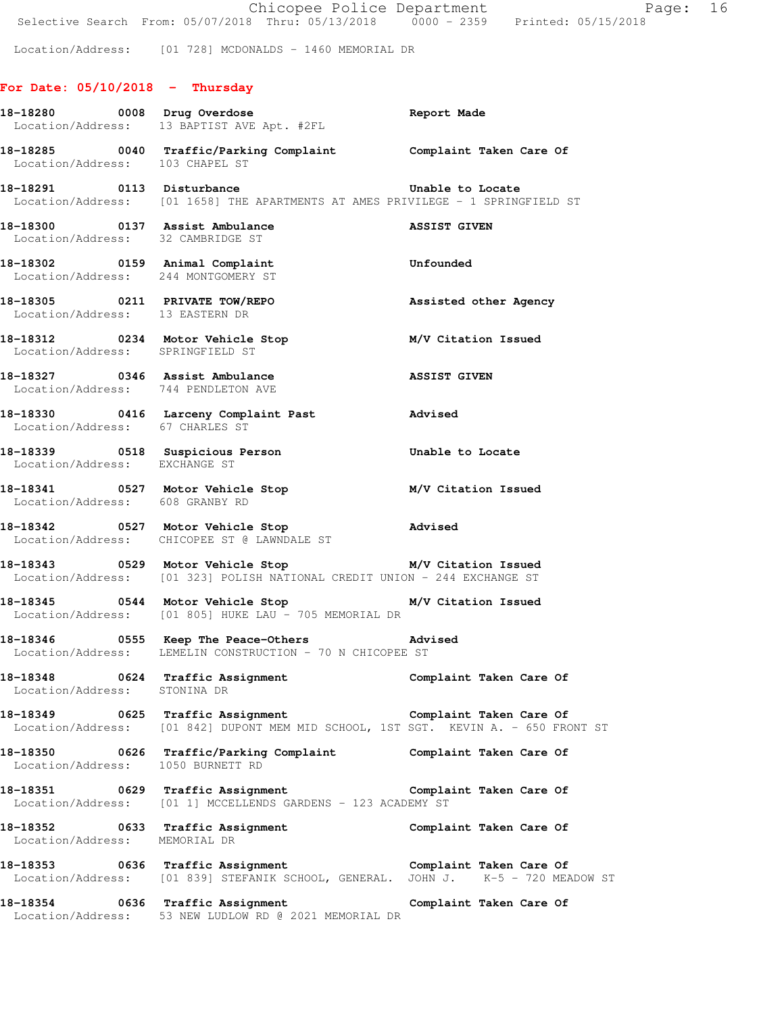Location/Address: [01 728] MCDONALDS - 1460 MEMORIAL DR

## **For Date: 05/10/2018 - Thursday**

|                                     | 18-18280 0008 Drug Overdose<br>18-18280 0008 Drug Overdose<br>Location/Address: 13 BAPTIST AVE Apt. #2FL                                                        | Report Made             |
|-------------------------------------|-----------------------------------------------------------------------------------------------------------------------------------------------------------------|-------------------------|
|                                     | 18-18285 0040 Traffic/Parking Complaint Complaint Taken Care Of Location/Address: 103 CHAPEL ST                                                                 |                         |
|                                     | 18-18291 0113 Disturbance<br>Location/Address: [01 1658] THE APARTMENTS AT AMES PRIVILEGE - 1 SPRINGFIELD ST                                                    |                         |
|                                     | 18-18300 0137 Assist Ambulance ASSIST GIVEN Location/Address: 32 CAMBRIDGE ST                                                                                   |                         |
| Location/Address: 244 MONTGOMERY ST | 18-18302 0159 Animal Complaint                                                                                                                                  | Unfounded               |
| Location/Address: 13 EASTERN DR     | 18-18305 0211 PRIVATE TOW/REPO                                                                                                                                  | Assisted other Agency   |
| Location/Address: SPRINGFIELD ST    | 18-18312 0234 Motor Vehicle Stop M/V Citation Issued                                                                                                            |                         |
| Location/Address: 744 PENDLETON AVE | 18-18327 0346 Assist Ambulance                                                                                                                                  | ASSIST GIVEN            |
| Location/Address: 67 CHARLES ST     | 18-18330 0416 Larceny Complaint Past 18-18330                                                                                                                   |                         |
| Location/Address: EXCHANGE ST       | 18-18339 18 0518 Suspicious Person 18-18 Unable to Locate                                                                                                       |                         |
| Location/Address: 608 GRANBY RD     |                                                                                                                                                                 |                         |
|                                     | 18-18342 0527 Motor Vehicle Stop<br>Location/Address: CHICOPEE ST @ LAWNDALE ST                                                                                 | Advised                 |
|                                     | 18-18343 0529 Motor Vehicle Stop M/V Citation Issued<br>Location/Address: [01 323] POLISH NATIONAL CREDIT UNION - 244 EXCHANGE ST                               |                         |
|                                     | Location/Address: [01 805] HUKE LAU - 705 MEMORIAL DR                                                                                                           |                         |
|                                     | 18-18346                      0555           Keep The Peace-Others                         Advised<br>Location/Address: LEMELIN CONSTRUCTION - 70 N CHICOPEE ST |                         |
| Location/Address: STONINA DR        |                                                                                                                                                                 |                         |
|                                     | Location/Address: [01 842] DUPONT MEM MID SCHOOL, 1ST SGT. KEVIN A. - 650 FRONT ST                                                                              |                         |
| Location/Address: 1050 BURNETT RD   | 18-18350 0626 Traffic/Parking Complaint                                                                                                                         | Complaint Taken Care Of |
|                                     | 18-18351 0629 Traffic Assignment <b>18-18351 Complaint Taken Care Of</b><br>Location/Address: [01 1] MCCELLENDS GARDENS - 123 ACADEMY ST                        |                         |
| Location/Address: MEMORIAL DR       | 18-18352 0633 Traffic Assignment                                                                                                                                | Complaint Taken Care Of |
|                                     | Location/Address: [01 839] STEFANIK SCHOOL, GENERAL. JOHN J. K-5 - 720 MEADOW ST                                                                                |                         |
| 18-18354 0636 Traffic Assignment    | Location/Address: 53 NEW LUDLOW RD @ 2021 MEMORIAL DR                                                                                                           | Complaint Taken Care Of |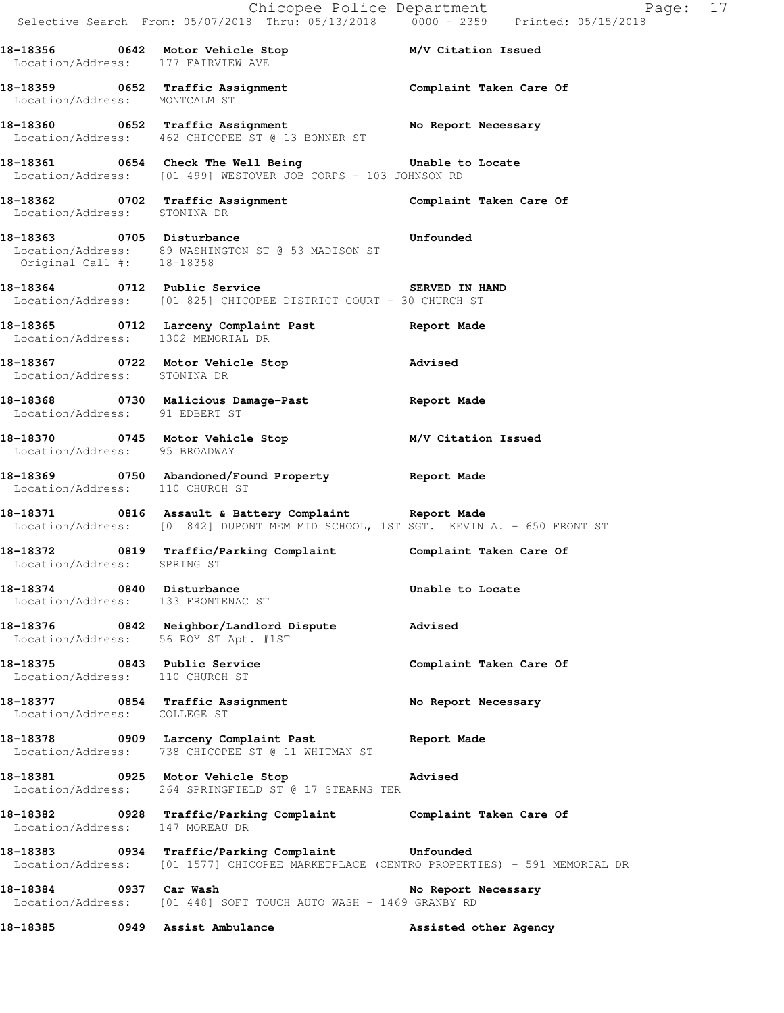|                                    | Selective Search From: 05/07/2018 Thru: 05/13/2018 0000 - 2359 Printed: 05/15/2018                                                          | Chicopee Police Department Page: 17 |
|------------------------------------|---------------------------------------------------------------------------------------------------------------------------------------------|-------------------------------------|
| Location/Address: 177 FAIRVIEW AVE | 18-18356 0642 Motor Vehicle Stop M/V Citation Issued                                                                                        |                                     |
| Location/Address: MONTCALM ST      | 18-18359 0652 Traffic Assignment 18-18359 Complaint Taken Care Of                                                                           |                                     |
|                                    | 18-18360 0652 Traffic Assignment No Report Necessary<br>Location/Address: 462 CHICOPEE ST @ 13 BONNER ST                                    |                                     |
|                                    | 18-18361 0654 Check The Well Being Unable to Locate<br>Location/Address: [01 499] WESTOVER JOB CORPS - 103 JOHNSON RD                       |                                     |
|                                    | 18-18362   0702   Traffic Assignment   Complaint Taken Care Of Location/Address: STONINA DR                                                 |                                     |
| Original Call #: 18-18358          | 18-18363 0705 Disturbance <b>18-18363</b> Unfounded<br>Location/Address: 89 WASHINGTON ST @ 53 MADISON ST                                   |                                     |
|                                    | 18-18364 0712 Public Service 3 SERVED IN HAND<br>Location/Address: [01 825] CHICOPEE DISTRICT COURT - 30 CHURCH ST                          |                                     |
| Location/Address: 1302 MEMORIAL DR | 18-18365 0712 Larceny Complaint Past 18-18365                                                                                               |                                     |
| Location/Address: STONINA DR       | 18-18367 0722 Motor Vehicle Stop 31 Movised                                                                                                 |                                     |
|                                    | 18-18368 0730 Malicious Damage-Past 18-18368 Report Made<br>Location/Address: 91 EDBERT ST                                                  |                                     |
| Location/Address: 95 BROADWAY      | 18-18370 0745 Motor Vehicle Stop M/V Citation Issued                                                                                        |                                     |
| Location/Address: 110 CHURCH ST    | 18-18369 0750 Abandoned/Found Property Report Made                                                                                          |                                     |
|                                    | 18-18371 0816 Assault & Battery Complaint Report Made<br>Location/Address: [01 842] DUPONT MEM MID SCHOOL, 1ST SGT. KEVIN A. - 650 FRONT ST |                                     |
| Location/Address: SPRING ST        | 18-18372 0819 Traffic/Parking Complaint Complaint Taken Care Of                                                                             |                                     |
| 18-18374 0840 Disturbance          | Location/Address: 133 FRONTENAC ST                                                                                                          | Unable to Locate                    |
|                                    | 18-18376 0842 Neighbor/Landlord Dispute Advised<br>Location/Address: 56 ROY ST Apt. #1ST                                                    |                                     |
| Location/Address: 110 CHURCH ST    | 18-18375 0843 Public Service                                                                                                                | Complaint Taken Care Of             |
| Location/Address: COLLEGE ST       | 18-18377 0854 Traffic Assignment                                                                                                            | No Report Necessary                 |
|                                    | 18-18378 0909 Larceny Complaint Past<br>Location/Address: 738 CHICOPEE ST @ 11 WHITMAN ST                                                   | Report Made                         |
|                                    | 18-18381 0925 Motor Vehicle Stop<br>Location/Address: 264 SPRINGFIELD ST @ 17 STEARNS TER                                                   | Advised                             |
| Location/Address: 147 MOREAU DR    | 18-18382 <b>1888</b> 1928 Traffic/Parking Complaint <b>1888</b> Complaint Taken Care Of                                                     |                                     |
|                                    | 18-18383 0934 Traffic/Parking Complaint Unfounded<br>Location/Address: [01 1577] CHICOPEE MARKETPLACE (CENTRO PROPERTIES) - 591 MEMORIAL DR |                                     |
| 18-18384 0937 Car Wash             | Location/Address: [01 448] SOFT TOUCH AUTO WASH - 1469 GRANBY RD                                                                            | No Report Necessary                 |
|                                    | 18-18385 0949 Assist Ambulance                                                                                                              | Assisted other Agency               |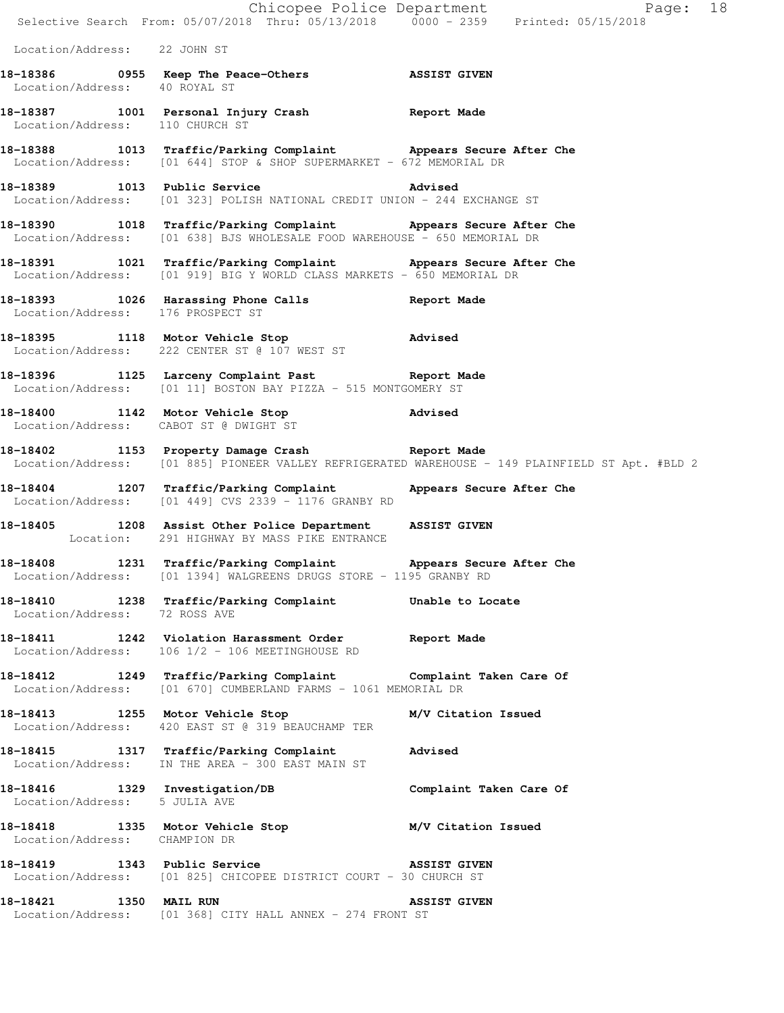|                                   |                                                                                                                                               | Page: 18                                                                                         |
|-----------------------------------|-----------------------------------------------------------------------------------------------------------------------------------------------|--------------------------------------------------------------------------------------------------|
|                                   | Chicopee Police Department<br>Selective Search From: 05/07/2018 Thru: 05/13/2018 0000 - 2359 Printed: 05/15/2018                              |                                                                                                  |
| Location/Address: 22 JOHN ST      |                                                                                                                                               |                                                                                                  |
| Location/Address: 40 ROYAL ST     | 18-18386 0955 Keep The Peace-Others ASSIST GIVEN                                                                                              |                                                                                                  |
| Location/Address: 110 CHURCH ST   | 18-18387 1001 Personal Injury Crash 18 Report Made                                                                                            |                                                                                                  |
|                                   | 18-18388 1013 Traffic/Parking Complaint Appears Secure After Che<br>Location/Address: [01 644] STOP & SHOP SUPERMARKET - 672 MEMORIAL DR      |                                                                                                  |
|                                   | 18-18389 1013 Public Service 2015 2015 Advised<br>Location/Address: [01 323] POLISH NATIONAL CREDIT UNION - 244 EXCHANGE ST                   |                                                                                                  |
|                                   | 18-18390 1018 Traffic/Parking Complaint Appears Secure After Che<br>Location/Address: [01 638] BJS WHOLESALE FOOD WAREHOUSE - 650 MEMORIAL DR |                                                                                                  |
|                                   | 18-18391 1021 Traffic/Parking Complaint Appears Secure After Che<br>Location/Address: [01 919] BIG Y WORLD CLASS MARKETS - 650 MEMORIAL DR    |                                                                                                  |
| Location/Address: 176 PROSPECT ST | 18-18393 1026 Harassing Phone Calls 5 Report Made                                                                                             |                                                                                                  |
|                                   | 18-18395 1118 Motor Vehicle Stop <b>Advised</b><br>Location/Address: 222 CENTER ST @ 107 WEST ST                                              |                                                                                                  |
|                                   | 18-18396 1125 Larceny Complaint Past Report Made<br>Location/Address: [01 11] BOSTON BAY PIZZA - 515 MONTGOMERY ST                            |                                                                                                  |
|                                   | 18-18400 1142 Motor Vehicle Stop 318-18400<br>Location/Address: CABOT ST @ DWIGHT ST                                                          |                                                                                                  |
|                                   | 18-18402 1153 Property Damage Crash Report Made                                                                                               | Location/Address: [01 885] PIONEER VALLEY REFRIGERATED WAREHOUSE - 149 PLAINFIELD ST Apt. #BLD 2 |
|                                   | 18-18404 1207 Traffic/Parking Complaint Appears Secure After Che<br>$Location/Address:$ [01 449] CVS 2339 - 1176 GRANBY RD                    |                                                                                                  |
|                                   | 18-18405 1208 Assist Other Police Department ASSIST GIVEN<br>Location: 291 HIGHWAY BY MASS PIKE ENTRANCE                                      |                                                                                                  |
|                                   | 18-18408 1231 Traffic/Parking Complaint<br>Location/Address: [01 1394] WALGREENS DRUGS STORE - 1195 GRANBY RD                                 | Appears Secure After Che                                                                         |
|                                   | 18-18410 1238 Traffic/Parking Complaint<br>Location/Address: 72 ROSS AVE                                                                      | Unable to Locate                                                                                 |
|                                   | 18-18411 1242 Violation Harassment Order Report Made<br>Location/Address: 106 1/2 - 106 MEETINGHOUSE RD                                       |                                                                                                  |
|                                   | 18-18412 1249 Traffic/Parking Complaint Complaint Taken Care Of<br>Location/Address: [01 670] CUMBERLAND FARMS - 1061 MEMORIAL DR             |                                                                                                  |
|                                   | 18-18413 1255 Motor Vehicle Stop M/V Citation Issued<br>Location/Address: 420 EAST ST @ 319 BEAUCHAMP TER                                     |                                                                                                  |
|                                   | 18-18415 1317 Traffic/Parking Complaint Advised<br>Location/Address: IN THE AREA - 300 EAST MAIN ST                                           |                                                                                                  |
| Location/Address: 5 JULIA AVE     | 18-18416 1329 Investigation/DB                                                                                                                | Complaint Taken Care Of                                                                          |
| Location/Address: CHAMPION DR     | 18-18418 1335 Motor Vehicle Stop M/V Citation Issued                                                                                          |                                                                                                  |
|                                   | 18-18419 1343 Public Service NSSIST GIVEN<br>Location/Address: [01 825] CHICOPEE DISTRICT COURT - 30 CHURCH ST                                |                                                                                                  |
| 1350 MAIL RUN<br>18-18421         | Location/Address: [01 368] CITY HALL ANNEX - 274 FRONT ST                                                                                     | <b>ASSIST GIVEN</b>                                                                              |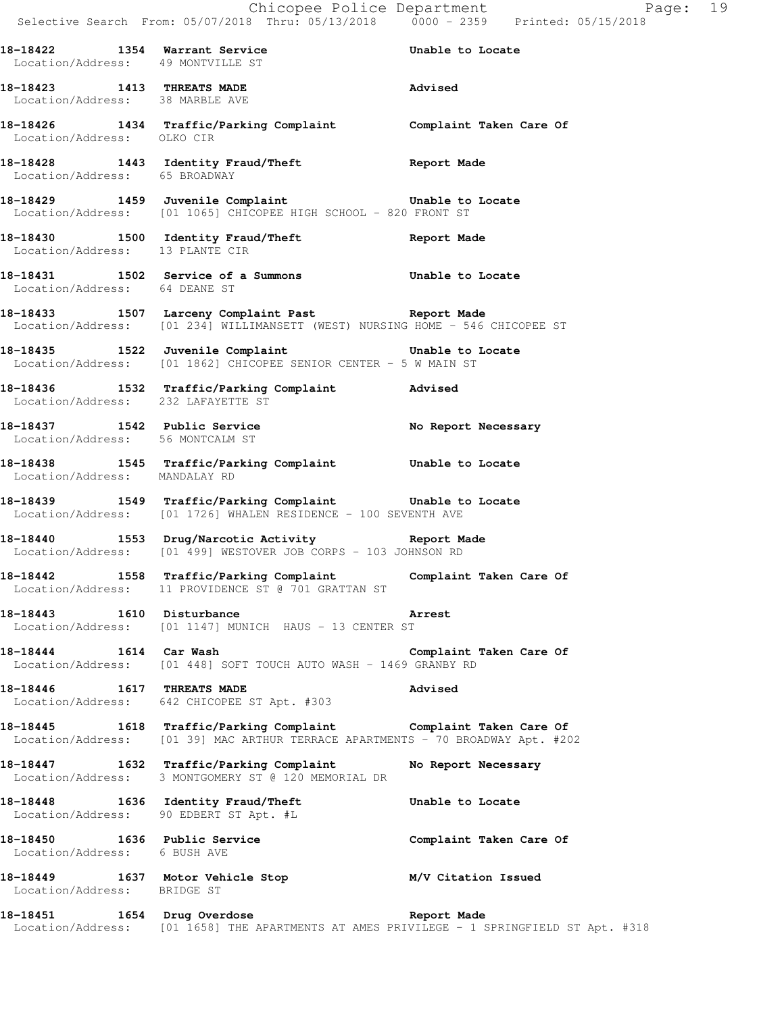**18-18423 1413 THREATS MADE Advised**  Location/Address: 38 MARBLE AVE

**18-18426 1434 Traffic/Parking Complaint Complaint Taken Care Of**  Location/Address: OLKO CIR

**18-18428 1443 Identity Fraud/Theft Report Made**  Location/Address: 65 BROADWAY

**18-18429 1459 Juvenile Complaint Unable to Locate**  Location/Address: [01 1065] CHICOPEE HIGH SCHOOL - 820 FRONT ST

**18-18430 1500 Identity Fraud/Theft Report Made**  Location/Address: 13 PLANTE CIR

Location/Address: 64 DEANE ST

**18-18433 1507 Larceny Complaint Past Report Made**  Location/Address: [01 234] WILLIMANSETT (WEST) NURSING HOME - 546 CHICOPEE ST

**18-18435 1522 Juvenile Complaint Unable to Locate**  Location/Address: [01 1862] CHICOPEE SENIOR CENTER - 5 W MAIN ST

**18-18436 1532 Traffic/Parking Complaint Advised**  Location/Address: 232 LAFAYETTE ST

**18-18437 1542 Public Service No Report Necessary**  Location/Address: 56 MONTCALM ST

**18-18438 1545 Traffic/Parking Complaint Unable to Locate**  Location/Address: MANDALAY RD

**18-18439 1549 Traffic/Parking Complaint Unable to Locate**  Location/Address: [01 1726] WHALEN RESIDENCE - 100 SEVENTH AVE

**18-18440 1553 Drug/Narcotic Activity Report Made**  Location/Address: [01 499] WESTOVER JOB CORPS - 103 JOHNSON RD

**18-18442 1558 Traffic/Parking Complaint Complaint Taken Care Of**  Location/Address: 11 PROVIDENCE ST @ 701 GRATTAN ST

**18-18443 1610 Disturbance Arrest**  Location/Address: [01 1147] MUNICH HAUS - 13 CENTER ST

**18-18444 1614 Car Wash Complaint Taken Care Of**  Location/Address: [01 448] SOFT TOUCH AUTO WASH - 1469 GRANBY RD

**18-18446 1617 THREATS MADE Advised**  Location/Address: 642 CHICOPEE ST Apt. #303

**18-18445 1618 Traffic/Parking Complaint Complaint Taken Care Of**  Location/Address: [01 39] MAC ARTHUR TERRACE APARTMENTS - 70 BROADWAY Apt. #202

**18-18447 1632 Traffic/Parking Complaint No Report Necessary**  Location/Address: 3 MONTGOMERY ST @ 120 MEMORIAL DR

**18-18448 1636 Identity Fraud/Theft Unable to Locate**  Location/Address: 90 EDBERT ST Apt. #L 18-18450 1636 Public Service **18-18450** Complaint Taken Care Of

Location/Address: 6 BUSH AVE

**18-18449 1637 Motor Vehicle Stop M/V Citation Issued**  Location/Address: BRIDGE ST

**18-18451 1654 Drug Overdose Report Made**  Location/Address: [01 1658] THE APARTMENTS AT AMES PRIVILEGE - 1 SPRINGFIELD ST Apt. #318

**18-18431 1502 Service of a Summons Unable to Locate**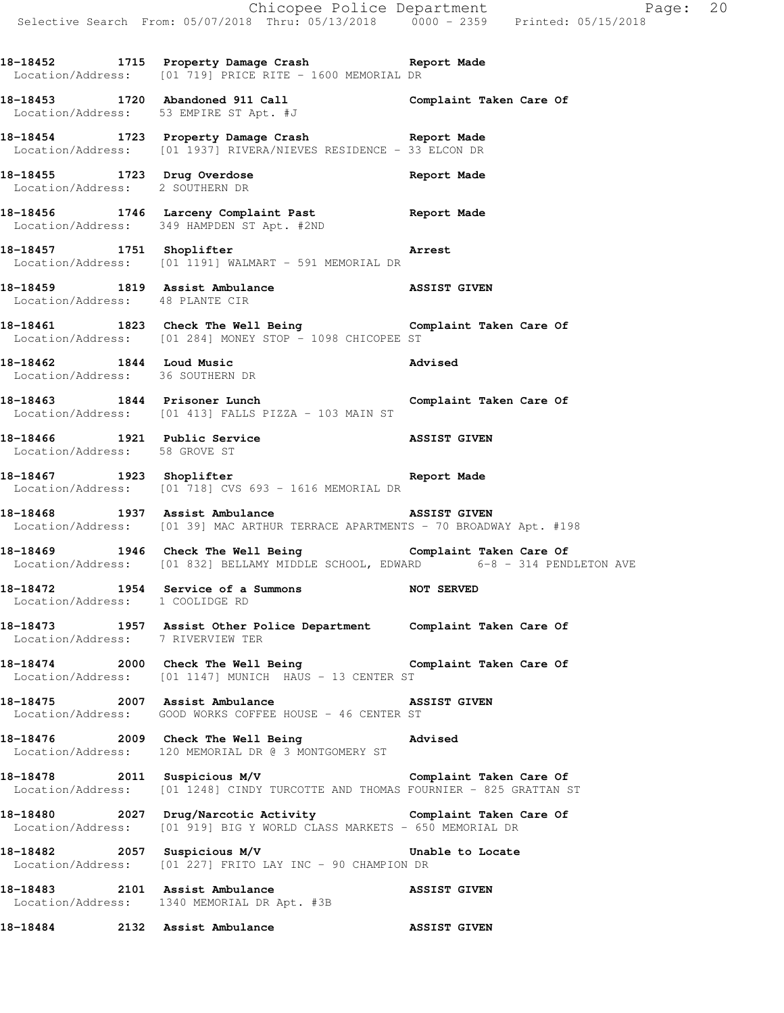**18-18452 1715 Property Damage Crash Report Made** 

 Location/Address: [01 719] PRICE RITE - 1600 MEMORIAL DR **18-18453 1720 Abandoned 911 Call Complaint Taken Care Of**  Location/Address: 53 EMPIRE ST Apt. #J **18-18454 1723 Property Damage Crash Report Made**  Location/Address: [01 1937] RIVERA/NIEVES RESIDENCE - 33 ELCON DR **18-18455 1723 Drug Overdose Report Made**  Location/Address: 2 SOUTHERN DR **18-18456 1746 Larceny Complaint Past Report Made**  Location/Address: 349 HAMPDEN ST Apt. #2ND **18-18457 1751 Shoplifter Arrest**  Location/Address: [01 1191] WALMART - 591 MEMORIAL DR **18-18459 1819 Assist Ambulance ASSIST GIVEN**  Location/Address: 48 PLANTE CIR **18-18461 1823 Check The Well Being Complaint Taken Care Of**  Location/Address: [01 284] MONEY STOP - 1098 CHICOPEE ST **18-18462 1844 Loud Music Advised**  Location/Address: 36 SOUTHERN DR **18-18463 1844 Prisoner Lunch Complaint Taken Care Of**  Location/Address: [01 413] FALLS PIZZA - 103 MAIN ST **18-18466 1921 Public Service ASSIST GIVEN**  Location/Address: 58 GROVE ST **18-18467 1923 Shoplifter Report Made**  Location/Address: [01 718] CVS 693 - 1616 MEMORIAL DR **18-18468 1937 Assist Ambulance ASSIST GIVEN**  Location/Address: [01 39] MAC ARTHUR TERRACE APARTMENTS - 70 BROADWAY Apt. #198 **18-18469 1946 Check The Well Being Complaint Taken Care Of**  Location/Address: [01 832] BELLAMY MIDDLE SCHOOL, EDWARD 6-8 - 314 PENDLETON AVE **18-18472 1954 Service of a Summons NOT SERVED**  Location/Address: 1 COOLIDGE RD **18-18473 1957 Assist Other Police Department Complaint Taken Care Of**  Location/Address: 7 RIVERVIEW TER **18-18474 2000 Check The Well Being Complaint Taken Care Of**  Location/Address: [01 1147] MUNICH HAUS - 13 CENTER ST **18-18475 2007 Assist Ambulance ASSIST GIVEN**  Location/Address: GOOD WORKS COFFEE HOUSE - 46 CENTER ST **18-18476 2009 Check The Well Being Advised**  Location/Address: 120 MEMORIAL DR @ 3 MONTGOMERY ST **18-18478 2011 Suspicious M/V Complaint Taken Care Of**  Location/Address: [01 1248] CINDY TURCOTTE AND THOMAS FOURNIER - 825 GRATTAN ST **18-18480 2027 Drug/Narcotic Activity Complaint Taken Care Of**  Location/Address: [01 919] BIG Y WORLD CLASS MARKETS - 650 MEMORIAL DR **18-18482 2057 Suspicious M/V Unable to Locate** 

Location/Address: [01 227] FRITO LAY INC - 90 CHAMPION DR

**18-18483 2101 Assist Ambulance ASSIST GIVEN**  Location/Address: 1340 MEMORIAL DR Apt. #3B

**18-18484 2132 Assist Ambulance ASSIST GIVEN**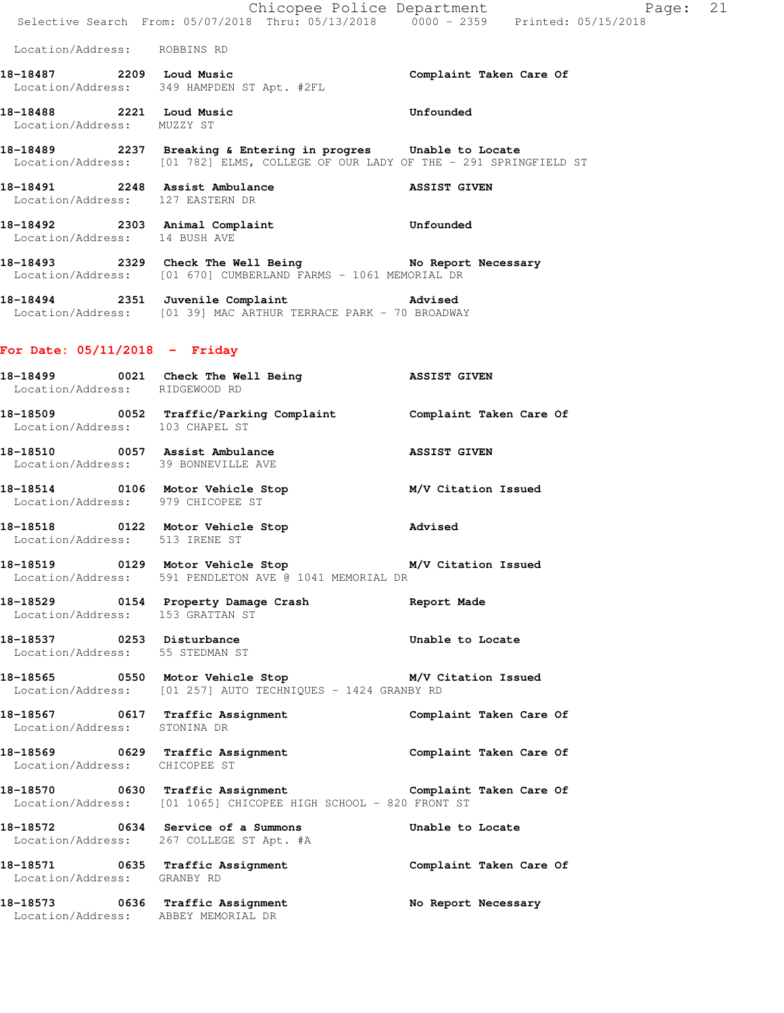|                                   | E Chicopee Police Department<br>Selective Search From: 05/07/2018 Thru: 05/13/2018 0000 - 2359 Printed: 05/15/2018                                | Page: 21                |
|-----------------------------------|---------------------------------------------------------------------------------------------------------------------------------------------------|-------------------------|
| Location/Address: ROBBINS RD      |                                                                                                                                                   |                         |
| 18-18487 2209 Loud Music          | Location/Address: 349 HAMPDEN ST Apt. #2FL                                                                                                        | Complaint Taken Care Of |
| Location/Address: MUZZY ST        | 18-18488 2221 Loud Music                                                                                                                          | Unfounded               |
|                                   | 18-18489 2237 Breaking & Entering in progres Unable to Locate<br>Location/Address: [01 782] ELMS, COLLEGE OF OUR LADY OF THE - 291 SPRINGFIELD ST |                         |
| Location/Address: 127 EASTERN DR  | 18-18491 2248 Assist Ambulance ASSIST GIVEN                                                                                                       |                         |
| Location/Address: 14 BUSH AVE     | 18-18492 2303 Animal Complaint Communications Unfounded                                                                                           |                         |
|                                   | 18-18493 2329 Check The Well Being No Report Necessary<br>Location/Address: [01 670] CUMBERLAND FARMS - 1061 MEMORIAL DR                          |                         |
|                                   | 18-18494 2351 Juvenile Complaint Advised<br>Location/Address: [01 39] MAC ARTHUR TERRACE PARK - 70 BROADWAY                                       |                         |
| For Date: $05/11/2018$ - Friday   |                                                                                                                                                   |                         |
| Location/Address: RIDGEWOOD RD    | 18-18499 0021 Check The Well Being 38SIST GIVEN                                                                                                   |                         |
| Location/Address: 103 CHAPEL ST   | 18-18509 0052 Traffic/Parking Complaint Complaint Taken Care Of                                                                                   |                         |
|                                   | ASSIST GIVEN<br>18-18510 0057 Assist Ambulance<br>Location/Address: 39 BONNEVILLE AVE                                                             |                         |
| Location/Address: 979 CHICOPEE ST | 18-18514 0106 Motor Vehicle Stop M/V Citation Issued                                                                                              |                         |
| Location/Address: 513 IRENE ST    | 18-18518 0122 Motor Vehicle Stop Movised                                                                                                          |                         |
|                                   | 18-18519   0129   Motor Vehicle Stop   M/V Citation Issued<br>Location/Address: 591 PENDLETON AVE @ 1041 MEMORIAL DR                              |                         |
| Location/Address: 153 GRATTAN ST  | 18-18529 0154 Property Damage Crash Report Made                                                                                                   |                         |
| Location/Address: 55 STEDMAN ST   | 18-18537 0253 Disturbance                                                                                                                         | Unable to Locate        |
|                                   | 18-18565 0550 Motor Vehicle Stop M/V Citation Issued<br>Location/Address: [01 257] AUTO TECHNIQUES - 1424 GRANBY RD                               |                         |
|                                   | 18-18567   0617   Traffic Assignment   Complaint Taken Care Of Location/Address:   STONINA DR                                                     |                         |
| Location/Address: CHICOPEE ST     | 18-18569 0629 Traffic Assignment Complaint Taken Care Of                                                                                          |                         |
|                                   | 18-18570 0630 Traffic Assignment Complaint Taken Care Of<br>Location/Address: [01 1065] CHICOPEE HIGH SCHOOL - 820 FRONT ST                       |                         |
|                                   | 18-18572 0634 Service of a Summons<br>Location/Address: 267 COLLEGE ST Apt. #A                                                                    | Unable to Locate        |
| Location/Address: GRANBY RD       | 18-18571 0635 Traffic Assignment Complaint Taken Care Of                                                                                          |                         |
|                                   | 18-18573 0636 Traffic Assignment<br>Location/Address: ABBEY MEMORIAL DR                                                                           | No Report Necessary     |
|                                   |                                                                                                                                                   |                         |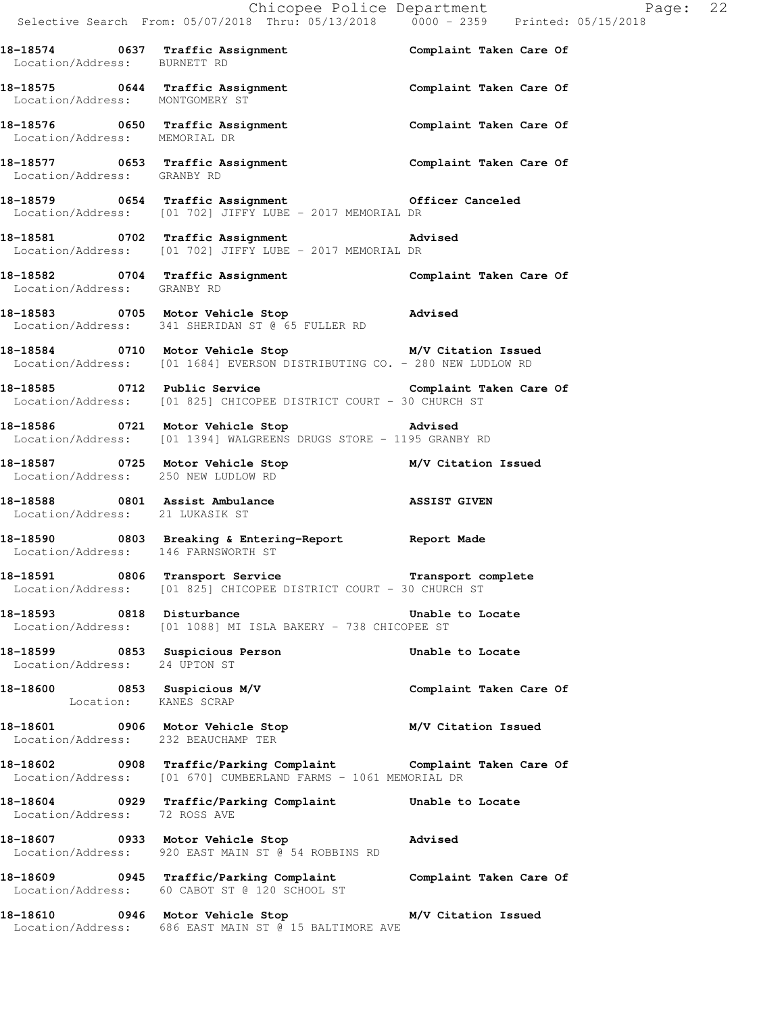|                                     | Chicopee Police Department<br>Selective Search From: 05/07/2018 Thru: 05/13/2018 0000 - 2359 Printed: 05/15/2018                  |                         |  |
|-------------------------------------|-----------------------------------------------------------------------------------------------------------------------------------|-------------------------|--|
|                                     |                                                                                                                                   |                         |  |
| Location/Address: BURNETT RD        | 18-18574 0637 Traffic Assignment Complaint Taken Care Of                                                                          |                         |  |
| Location/Address: MONTGOMERY ST     | 18-18575 0644 Traffic Assignment Complaint Taken Care Of                                                                          |                         |  |
|                                     | 18-18576    0650    Traffic Assignment    Complaint Taken Care Of Location/Address: MEMORIAL DR                                   |                         |  |
|                                     | 18-18577   0653   Traffic Assignment   Complaint Taken Care Of Location/Address: GRANBY RD                                        |                         |  |
|                                     | 18-18579 0654 Traffic Assignment 0fficer Canceled Location/Address: [01 702] JIFFY LUBE - 2017 MEMORIAL DR                        |                         |  |
|                                     | 18-18581 0702 Traffic Assignment Advised<br>Location/Address: [01 702] JIFFY LUBE - 2017 MEMORIAL DR                              |                         |  |
| Location/Address: GRANBY RD         | 18-18582 0704 Traffic Assignment Complaint Taken Care Of                                                                          |                         |  |
|                                     | 18-18583 0705 Motor Vehicle Stop 318-18583<br>Location/Address: 341 SHERIDAN ST @ 65 FULLER RD                                    |                         |  |
|                                     | 18-18584 0710 Motor Vehicle Stop M/V Citation Issued<br>Location/Address: [01 1684] EVERSON DISTRIBUTING CO. - 280 NEW LUDLOW RD  |                         |  |
|                                     | 18-18585 0712 Public Service Complaint Taken Care Of<br>Location/Address: [01 825] CHICOPEE DISTRICT COURT - 30 CHURCH ST         |                         |  |
|                                     | 18-18586 0721 Motor Vehicle Stop 31 Motor Advised<br>Location/Address: [01 1394] WALGREENS DRUGS STORE - 1195 GRANBY RD           |                         |  |
| Location/Address: 250 NEW LUDLOW RD | 18-18587 0725 Motor Vehicle Stop M/V Citation Issued                                                                              |                         |  |
| Location/Address: 21 LUKASIK ST     | 18-18588 0801 Assist Ambulance 18 ASSIST GIVEN                                                                                    |                         |  |
|                                     | 18-18590 0803 Breaking & Entering-Report Report Made<br>Location/Address: 146 FARNSWORTH ST                                       |                         |  |
|                                     | 18-18591 0806 Transport Service Transport complete<br>Location/Address: [01 825] CHICOPEE DISTRICT COURT - 30 CHURCH ST           |                         |  |
| 18-18593 0818 Disturbance           | Location/Address: [01 1088] MI ISLA BAKERY - 738 CHICOPEE ST                                                                      | Unable to Locate        |  |
| Location/Address: 24 UPTON ST       | 18-18599 0853 Suspicious Person                                                                                                   | Unable to Locate        |  |
| Location: KANES SCRAP               | 18-18600 0853 Suspicious M/V                                                                                                      | Complaint Taken Care Of |  |
| Location/Address: 232 BEAUCHAMP TER | 18-18601 0906 Motor Vehicle Stop 6 M/V Citation Issued                                                                            |                         |  |
|                                     | 18-18602 0908 Traffic/Parking Complaint Complaint Taken Care Of<br>Location/Address: [01 670] CUMBERLAND FARMS - 1061 MEMORIAL DR |                         |  |
| Location/Address: 72 ROSS AVE       | 18-18604 0929 Traffic/Parking Complaint Unable to Locate                                                                          |                         |  |
|                                     | 18-18607 0933 Motor Vehicle Stop<br>Location/Address: 920 EAST MAIN ST @ 54 ROBBINS RD                                            | Advised                 |  |
|                                     | 18-18609 0945 Traffic/Parking Complaint Complaint Taken Care Of<br>Location/Address: 60 CABOT ST @ 120 SCHOOL ST                  |                         |  |
|                                     | 18-18610 0946 Motor Vehicle Stop M/V Citation Issued                                                                              |                         |  |

Location/Address: 686 EAST MAIN ST @ 15 BALTIMORE AVE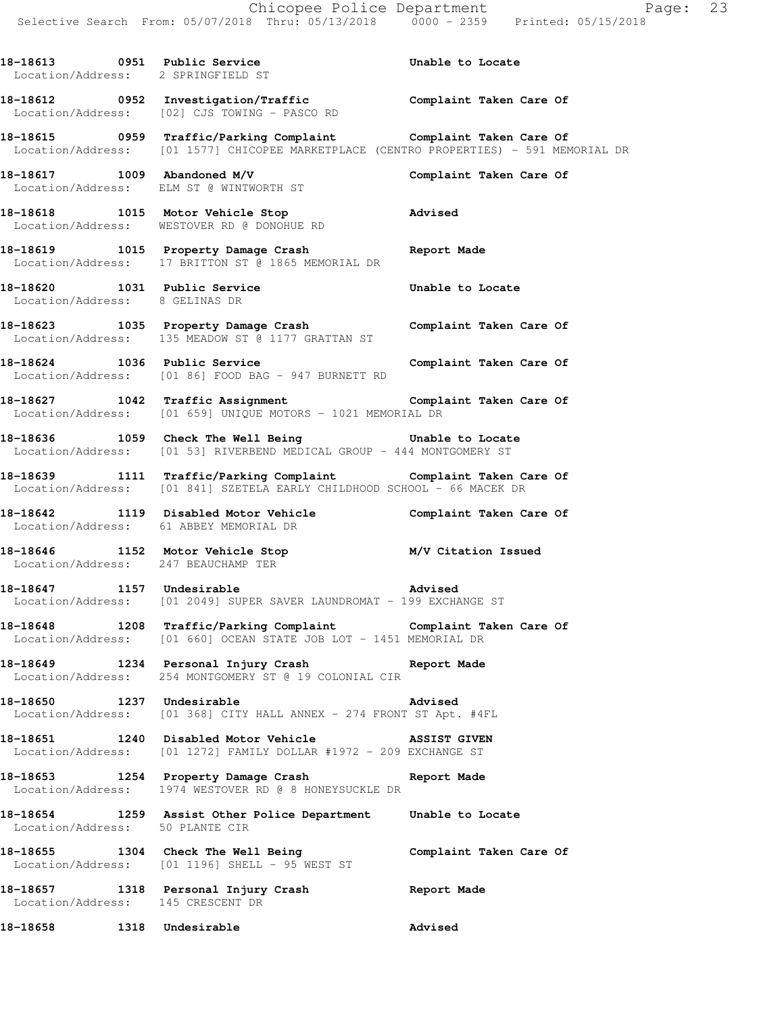18-18613 0951 Public Service **18-18613** Unable to Locate

 Location/Address: 2 SPRINGFIELD ST **18-18612 0952 Investigation/Traffic Complaint Taken Care Of**  Location/Address: [02] CJS TOWING - PASCO RD **18-18615 0959 Traffic/Parking Complaint Complaint Taken Care Of**  Location/Address: [01 1577] CHICOPEE MARKETPLACE (CENTRO PROPERTIES) - 591 MEMORIAL DR **18-18617 1009 Abandoned M/V Complaint Taken Care Of**  Location/Address: ELM ST @ WINTWORTH ST **18-18618 1015 Motor Vehicle Stop Advised**  Location/Address: WESTOVER RD @ DONOHUE RD **18-18619 1015 Property Damage Crash Report Made**  Location/Address: 17 BRITTON ST @ 1865 MEMORIAL DR **18-18620 1031 Public Service Unable to Locate**  Location/Address: 8 GELINAS DR **18-18623 1035 Property Damage Crash Complaint Taken Care Of**  Location/Address: 135 MEADOW ST @ 1177 GRATTAN ST **18-18624 1036 Public Service Complaint Taken Care Of**  Location/Address: [01 86] FOOD BAG - 947 BURNETT RD **18-18627 1042 Traffic Assignment Complaint Taken Care Of**  Location/Address: [01 659] UNIQUE MOTORS - 1021 MEMORIAL DR **18-18636 1059 Check The Well Being Unable to Locate**  Location/Address: [01 53] RIVERBEND MEDICAL GROUP - 444 MONTGOMERY ST **18-18639 1111 Traffic/Parking Complaint Complaint Taken Care Of**  Location/Address: [01 841] SZETELA EARLY CHILDHOOD SCHOOL - 66 MACEK DR **18-18642 1119 Disabled Motor Vehicle Complaint Taken Care Of**  Location/Address: 61 ABBEY MEMORIAL DR **18-18646 1152 Motor Vehicle Stop M/V Citation Issued**  Location/Address: 247 BEAUCHAMP TER **18-18647 1157 Undesirable Advised**  Location/Address: [01 2049] SUPER SAVER LAUNDROMAT - 199 EXCHANGE ST **18-18648 1208 Traffic/Parking Complaint Complaint Taken Care Of**  Location/Address: [01 660] OCEAN STATE JOB LOT - 1451 MEMORIAL DR **18-18649 1234 Personal Injury Crash Report Made**  Location/Address: 254 MONTGOMERY ST @ 19 COLONIAL CIR **18-18650 1237 Undesirable Advised**  Location/Address: [01 368] CITY HALL ANNEX - 274 FRONT ST Apt. #4FL **18-18651 1240 Disabled Motor Vehicle ASSIST GIVEN**  Location/Address: [01 1272] FAMILY DOLLAR #1972 - 209 EXCHANGE ST **18-18653 1254 Property Damage Crash Report Made**  Location/Address: 1974 WESTOVER RD @ 8 HONEYSUCKLE DR **18-18654 1259 Assist Other Police Department Unable to Locate**  Location/Address: 50 PLANTE CIR **18-18655 1304 Check The Well Being Complaint Taken Care Of**  Location/Address: [01 1196] SHELL - 95 WEST ST **18-18657 1318 Personal Injury Crash Report Made**  Location/Address: 145 CRESCENT DR **18-18658 1318 Undesirable Advised**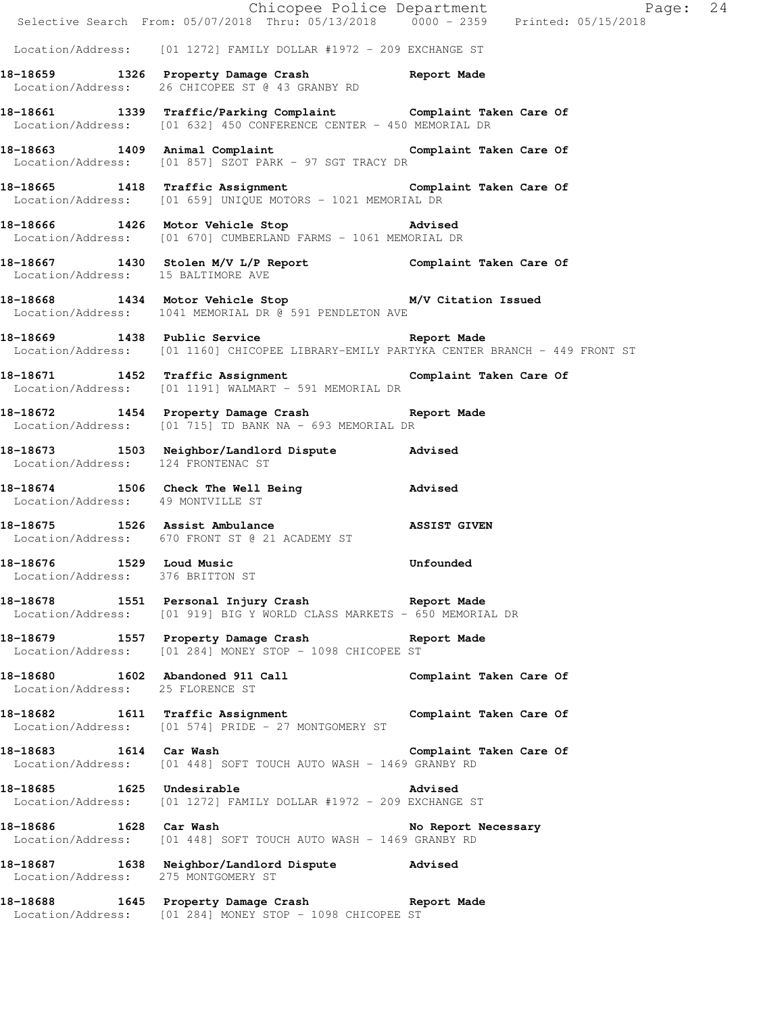|                                                              |                                                                                                                                          | Chicopee Police Department<br>Selective Search From: 05/07/2018 Thru: 05/13/2018 0000 - 2359 Printed: 05/15/2018 |  |
|--------------------------------------------------------------|------------------------------------------------------------------------------------------------------------------------------------------|------------------------------------------------------------------------------------------------------------------|--|
|                                                              | Location/Address: [01 1272] FAMILY DOLLAR #1972 - 209 EXCHANGE ST                                                                        |                                                                                                                  |  |
|                                                              | 18-18659 1326 Property Damage Crash Report Made<br>Location/Address: 26 CHICOPEE ST @ 43 GRANBY RD                                       |                                                                                                                  |  |
|                                                              | 18-18661 1339 Traffic/Parking Complaint Complaint Taken Care Of<br>Location/Address: [01 632] 450 CONFERENCE CENTER - 450 MEMORIAL DR    |                                                                                                                  |  |
|                                                              | 18-18663 1409 Animal Complaint 18-18663 18-18663<br>Location/Address: [01 857] SZOT PARK - 97 SGT TRACY DR                               |                                                                                                                  |  |
|                                                              | 18-18665 1418 Traffic Assignment Complaint Taken Care Of<br>Location/Address: [01 659] UNIQUE MOTORS - 1021 MEMORIAL DR                  |                                                                                                                  |  |
|                                                              | 18-18666 1426 Motor Vehicle Stop 318-18666<br>Location/Address: [01 670] CUMBERLAND FARMS - 1061 MEMORIAL DR                             |                                                                                                                  |  |
|                                                              | 18-18667 1430 Stolen M/V L/P Report Complaint Taken Care Of Location/Address: 15 BALTIMORE AVE                                           |                                                                                                                  |  |
|                                                              | 18-18668 1434 Motor Vehicle Stop M/V Citation Issued<br>Location/Address: 1041 MEMORIAL DR @ 591 PENDLETON AVE                           |                                                                                                                  |  |
|                                                              | 18-18669 1438 Public Service 2012 Report Made<br>Location/Address: [01 1160] CHICOPEE LIBRARY-EMILY PARTYKA CENTER BRANCH - 449 FRONT ST |                                                                                                                  |  |
|                                                              | 18-18671 1452 Traffic Assignment Complaint Taken Care Of<br>Location/Address: [01 1191] WALMART - 591 MEMORIAL DR                        |                                                                                                                  |  |
|                                                              | 18-18672 1454 Property Damage Crash Report Made<br>Location/Address: [01 715] TD BANK NA - 693 MEMORIAL DR                               |                                                                                                                  |  |
| Location/Address: 124 FRONTENAC ST                           | 18-18673 1503 Neighbor/Landlord Dispute Advised                                                                                          |                                                                                                                  |  |
| Location/Address: 49 MONTVILLE ST                            | 18-18674 1506 Check The Well Being 30 Marised                                                                                            |                                                                                                                  |  |
|                                                              | 18-18675 1526 Assist Ambulance 18-18675 ASSIST GIVEN<br>Location/Address: 670 FRONT ST @ 21 ACADEMY ST                                   |                                                                                                                  |  |
| 18-18676 1529 Loud Music<br>Location/Address: 376 BRITTON ST |                                                                                                                                          | <b>Unfounded</b>                                                                                                 |  |
|                                                              | 18-18678 1551 Personal Injury Crash Report Made<br>Location/Address: [01 919] BIG Y WORLD CLASS MARKETS - 650 MEMORIAL DR                |                                                                                                                  |  |
|                                                              | 18-18679 1557 Property Damage Crash Report Made Location/Address: [01 284] MONEY STOP - 1098 CHICOPEE ST                                 |                                                                                                                  |  |
| Location/Address: 25 FLORENCE ST                             | 18-18680 1602 Abandoned 911 Call Complaint Taken Care Of                                                                                 |                                                                                                                  |  |
|                                                              | 18-18682 1611 Traffic Assignment Complaint Taken Care Of<br>Location/Address: [01 574] PRIDE - 27 MONTGOMERY ST                          |                                                                                                                  |  |
|                                                              | 18-18683 1614 Car Wash 160 Complaint Taken Care Of<br>Location/Address: [01 448] SOFT TOUCH AUTO WASH - 1469 GRANBY RD                   |                                                                                                                  |  |
|                                                              | 18-18685 1625 Undesirable<br><b>Example 2</b> Advised<br>Location/Address: [01 1272] FAMILY DOLLAR #1972 - 209 EXCHANGE ST               |                                                                                                                  |  |
|                                                              | 18-18686 1628 Car Wash<br>Location/Address: [01 448] SOFT TOUCH AUTO WASH - 1469 GRANBY RD                                               | No Report Necessary                                                                                              |  |
| Location/Address: 275 MONTGOMERY ST                          | 18-18687 1638 Neighbor/Landlord Dispute Advised                                                                                          |                                                                                                                  |  |
|                                                              | 18-18688 1645 Property Damage Crash Report Made<br>Location/Address: [01 284] MONEY STOP - 1098 CHICOPEE ST                              |                                                                                                                  |  |
|                                                              |                                                                                                                                          |                                                                                                                  |  |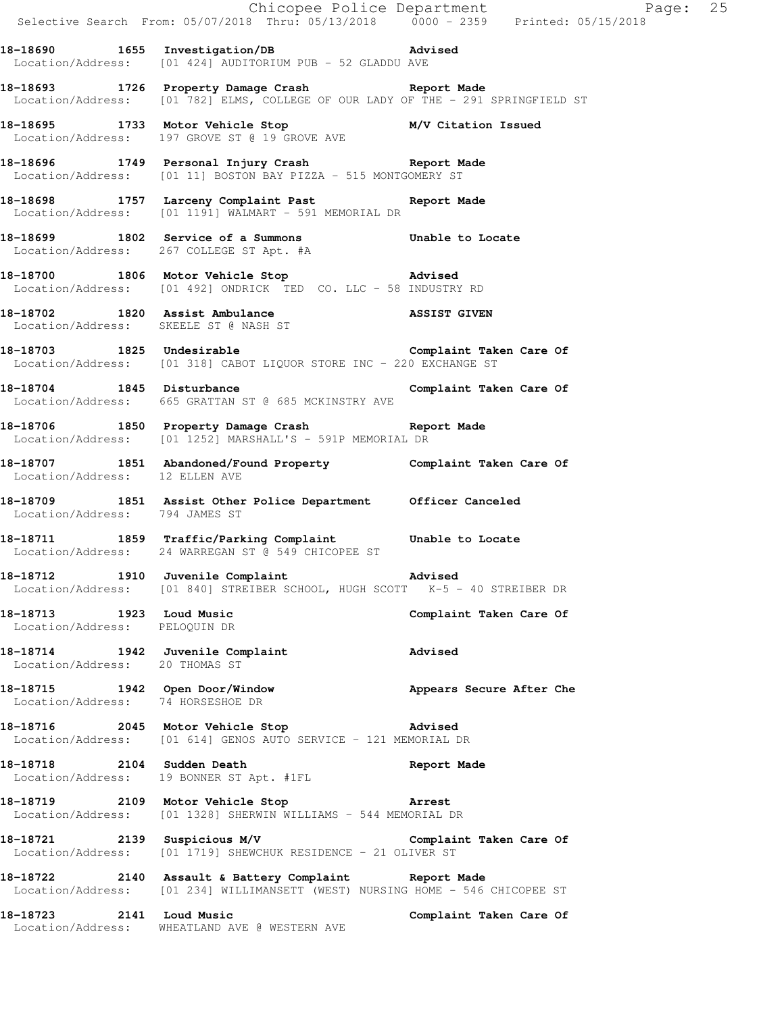|                                                                     | Selective Search From: 05/07/2018 Thru: 05/13/2018 0000 - 2359 Printed: 05/15/2018                                                     |                          |
|---------------------------------------------------------------------|----------------------------------------------------------------------------------------------------------------------------------------|--------------------------|
|                                                                     | 18-18690 1655 Investigation/DB Advised<br>Location/Address: [01 424] AUDITORIUM PUB - 52 GLADDU AVE                                    |                          |
|                                                                     | 18-18693 1726 Property Damage Crash Report Made<br>Location/Address: [01 782] ELMS, COLLEGE OF OUR LADY OF THE - 291 SPRINGFIELD ST    |                          |
|                                                                     | 18-18695 1733 Motor Vehicle Stop M/V Citation Issued<br>Location/Address: 197 GROVE ST @ 19 GROVE AVE                                  |                          |
|                                                                     | 18-18696 1749 Personal Injury Crash Report Made<br>Location/Address: [01 11] BOSTON BAY PIZZA - 515 MONTGOMERY ST                      |                          |
|                                                                     | 18-18698 1757 Larceny Complaint Past Report Made<br>Location/Address: [01 1191] WALMART - 591 MEMORIAL DR                              |                          |
|                                                                     | 18-18699 1802 Service of a Summons Unable to Locate<br>Location/Address: 267 COLLEGE ST Apt. #A                                        |                          |
|                                                                     | 18-18700 1806 Motor Vehicle Stop 30 Motors Advised<br>Location/Address: [01 492] ONDRICK TED CO. LLC - 58 INDUSTRY RD                  |                          |
|                                                                     | 18-18702 1820 Assist Ambulance ASSIST GIVEN<br>Location/Address: SKEELE ST @ NASH ST                                                   |                          |
|                                                                     | 18-18703 1825 Undesirable 18 Complaint Taken Care Of<br>Location/Address: [01 318] CABOT LIQUOR STORE INC - 220 EXCHANGE ST            |                          |
|                                                                     | 18-18704 1845 Disturbance Complaint Taken Care Of<br>Location/Address: 665 GRATTAN ST @ 685 MCKINSTRY AVE                              |                          |
|                                                                     | 18-18706 1850 Property Damage Crash Report Made Location/Address: [01 1252] MARSHALL'S - 591P MEMORIAL DR                              |                          |
|                                                                     | 18-18707   1851   Abandoned/Found Property   Complaint Taken Care Of Location/Address: 12 ELLEN AVE                                    |                          |
|                                                                     | 18-18709 1851 Assist Other Police Department Officer Canceled<br>Location/Address: 794 JAMES ST                                        |                          |
|                                                                     | 18-18711 1859 Traffic/Parking Complaint Unable to Locate<br>Location/Address: 24 WARREGAN ST @ 549 CHICOPEE ST                         |                          |
|                                                                     | 18-18712 1910 Juvenile Complaint Advised<br>Location/Address: [01 840] STREIBER SCHOOL, HUGH SCOTT K-5 - 40 STREIBER DR                |                          |
| 18-18713 1923 Loud Music<br>Location/Address: PELOQUIN DR           |                                                                                                                                        | Complaint Taken Care Of  |
| 18-18714 1942 Juvenile Complaint<br>Location/Address: 20 THOMAS ST  |                                                                                                                                        | Advised                  |
| 18-18715 1942 Open Door/Window<br>Location/Address: 74 HORSESHOE DR |                                                                                                                                        | Appears Secure After Che |
| 18-18716 2045 Motor Vehicle Stop                                    | <b>Advised</b><br>Location/Address: [01 614] GENOS AUTO SERVICE - 121 MEMORIAL DR                                                      |                          |
| 18-18718 2104 Sudden Death                                          | Location/Address: 19 BONNER ST Apt. #1FL                                                                                               | Report Made              |
| 18-18719 2109 Motor Vehicle Stop                                    | <b>Example 21 Arrest</b><br>Location/Address: [01 1328] SHERWIN WILLIAMS - 544 MEMORIAL DR                                             |                          |
|                                                                     | 18-18721 2139 Suspicious M/V Complaint Taken Care Of<br>Location/Address: [01 1719] SHEWCHUK RESIDENCE - 21 OLIVER ST                  |                          |
|                                                                     | 18-18722 2140 Assault & Battery Complaint Report Made<br>Location/Address: [01 234] WILLIMANSETT (WEST) NURSING HOME - 546 CHICOPEE ST |                          |
| 18-18723 2141 Loud Music                                            | Location/Address: WHEATLAND AVE @ WESTERN AVE                                                                                          | Complaint Taken Care Of  |

Chicopee Police Department Fage: 25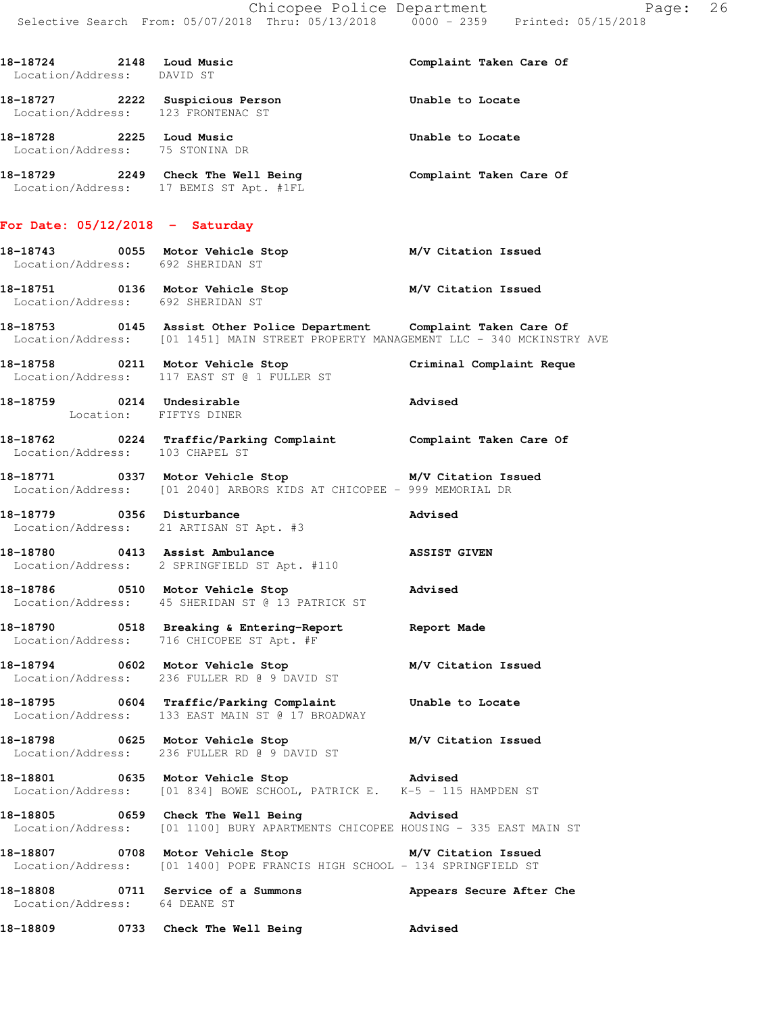Chicopee Police Department Page: 26 Selective Search From: 05/07/2018 Thru: 05/13/2018 0000 - 2359 Printed: 05/15/2018

**18-18724 2148 Loud Music Complaint Taken Care Of**  Location/Address: DAVID ST **18-18727 2222 Suspicious Person Unable to Locate**  Location/Address: 123 FRONTENAC ST **18-18728 2225 Loud Music Unable to Locate**  Location/Address: 75 STONINA DR **18-18729 2249 Check The Well Being Complaint Taken Care Of**  Location/Address: 17 BEMIS ST Apt. #1FL **For Date: 05/12/2018 - Saturday 18-18743 0055 Motor Vehicle Stop M/V Citation Issued**  Location/Address: 692 SHERIDAN ST **18-18751 0136 Motor Vehicle Stop M/V Citation Issued**  Location/Address: 692 SHERIDAN ST **18-18753 0145 Assist Other Police Department Complaint Taken Care Of**  Location/Address: [01 1451] MAIN STREET PROPERTY MANAGEMENT LLC - 340 MCKINSTRY AVE **18-18758 0211 Motor Vehicle Stop Criminal Complaint Reque**  Location/Address: 117 EAST ST @ 1 FULLER ST **18-18759 0214 Undesirable Advised**  Location: FIFTYS DINER **18-18762 0224 Traffic/Parking Complaint Complaint Taken Care Of**  Location/Address: 103 CHAPEL ST **18-18771 0337 Motor Vehicle Stop M/V Citation Issued**  Location/Address: [01 2040] ARBORS KIDS AT CHICOPEE - 999 MEMORIAL DR **18-18779 0356 Disturbance Advised**  Location/Address: 21 ARTISAN ST Apt. #3 **18-18780 0413 Assist Ambulance ASSIST GIVEN**  Location/Address: 2 SPRINGFIELD ST Apt. #110 **18-18786 0510 Motor Vehicle Stop Advised**  Location/Address: 45 SHERIDAN ST @ 13 PATRICK ST **18-18790 0518 Breaking & Entering-Report Report Made**  Location/Address: 716 CHICOPEE ST Apt. #F **18-18794 0602 Motor Vehicle Stop M/V Citation Issued**  Location/Address: 236 FULLER RD @ 9 DAVID ST **18-18795 0604 Traffic/Parking Complaint Unable to Locate**  Location/Address: 133 EAST MAIN ST @ 17 BROADWAY **18-18798 0625 Motor Vehicle Stop M/V Citation Issued**  Location/Address: 236 FULLER RD @ 9 DAVID ST **18-18801 0635 Motor Vehicle Stop Advised**  Location/Address: [01 834] BOWE SCHOOL, PATRICK E. K-5 - 115 HAMPDEN ST **18-18805 0659 Check The Well Being Advised**  Location/Address: [01 1100] BURY APARTMENTS CHICOPEE HOUSING - 335 EAST MAIN ST **18-18807 0708 Motor Vehicle Stop M/V Citation Issued**  Location/Address: [01 1400] POPE FRANCIS HIGH SCHOOL - 134 SPRINGFIELD ST **18-18808 0711 Service of a Summons Appears Secure After Che**  Location/Address: 64 DEANE ST **18-18809 0733 Check The Well Being Advised**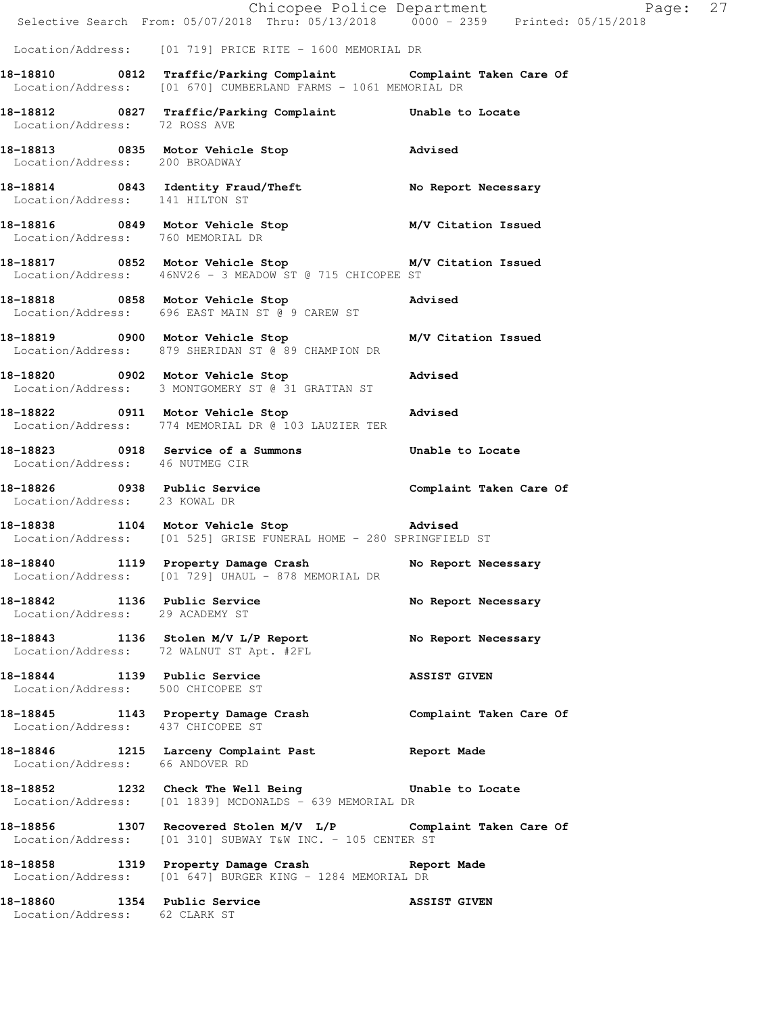|                                                                   | E Chicopee Police Department<br>Selective Search From: 05/07/2018 Thru: 05/13/2018 0000 - 2359 Printed: 05/15/2018                | Page: 27            |
|-------------------------------------------------------------------|-----------------------------------------------------------------------------------------------------------------------------------|---------------------|
|                                                                   |                                                                                                                                   |                     |
|                                                                   | Location/Address: [01 719] PRICE RITE - 1600 MEMORIAL DR                                                                          |                     |
|                                                                   | 18-18810 0812 Traffic/Parking Complaint Complaint Taken Care Of<br>Location/Address: [01 670] CUMBERLAND FARMS - 1061 MEMORIAL DR |                     |
| Location/Address: 72 ROSS AVE                                     | 18-18812 0827 Traffic/Parking Complaint Unable to Locate                                                                          |                     |
| Location/Address: 200 BROADWAY                                    | 18-18813 0835 Motor Vehicle Stop 318-18813                                                                                        |                     |
|                                                                   | 18-18814 0843 Identity Fraud/Theft No Report Necessary<br>Location/Address: 141 HILTON ST                                         |                     |
| Location/Address: 760 MEMORIAL DR                                 | 18-18816 		 0849 Motor Vehicle Stop 		 M/V Citation Issued                                                                        |                     |
|                                                                   | 18-18817 0852 Motor Vehicle Stop M/V Citation Issued<br>Location/Address: 46NV26 - 3 MEADOW ST @ 715 CHICOPEE ST                  |                     |
|                                                                   | 18-18818 0858 Motor Vehicle Stop<br>Location/Address: 696 EAST MAIN ST @ 9 CAREW ST                                               | Advised             |
|                                                                   | 18-18819   0900   Motor Vehicle Stop   M/V Citation Issued<br>Location/Address: 879 SHERIDAN ST @ 89 CHAMPION DR                  |                     |
|                                                                   | 18-18820 0902 Motor Vehicle Stop<br>Location/Address: 3 MONTGOMERY ST @ 31 GRATTAN ST                                             | Advised             |
|                                                                   | 18-18822 0911 Motor Vehicle Stop 30 Advised<br>Location/Address: 774 MEMORIAL DR @ 103 LAUZIER TER                                |                     |
| Location/Address: 46 NUTMEG CIR                                   | 18-18823 0918 Service of a Summons                                                                                                | Unable to Locate    |
| Location/Address: 23 KOWAL DR                                     |                                                                                                                                   |                     |
|                                                                   | 18-18838 1104 Motor Vehicle Stop 30 Advised<br>Location/Address: [01 525] GRISE FUNERAL HOME - 280 SPRINGFIELD ST                 |                     |
| 18-18840                                                          | 1119 Property Damage Crash No Report Necessary<br>Location/Address: [01 729] UHAUL - 878 MEMORIAL DR                              |                     |
| 18-18842 1136 Public Service<br>Location/Address: 29 ACADEMY ST   |                                                                                                                                   | No Report Necessary |
|                                                                   | 18-18843 1136 Stolen M/V L/P Report<br>Location/Address: 72 WALNUT ST Apt. #2FL                                                   | No Report Necessary |
| 18-18844 1139 Public Service<br>Location/Address: 500 CHICOPEE ST |                                                                                                                                   | <b>ASSIST GIVEN</b> |
| Location/Address: 437 CHICOPEE ST                                 | 18-18845 1143 Property Damage Crash Complaint Taken Care Of                                                                       |                     |
| Location/Address: 66 ANDOVER RD                                   | 18-18846 1215 Larceny Complaint Past Report Made                                                                                  |                     |
|                                                                   | 18-18852 1232 Check The Well Being 30 Unable to Locate<br>Location/Address: [01 1839] MCDONALDS - 639 MEMORIAL DR                 |                     |
|                                                                   | 18-18856 1307 Recovered Stolen M/V L/P Complaint Taken Care Of<br>Location/Address: [01 310] SUBWAY T&W INC. - 105 CENTER ST      |                     |
|                                                                   | 18-18858 1319 Property Damage Crash Report Made<br>Location/Address: [01 647] BURGER KING - 1284 MEMORIAL DR                      |                     |
| 18-18860 1354 Public Service<br>Location/Address: 62 CLARK ST     |                                                                                                                                   | <b>ASSIST GIVEN</b> |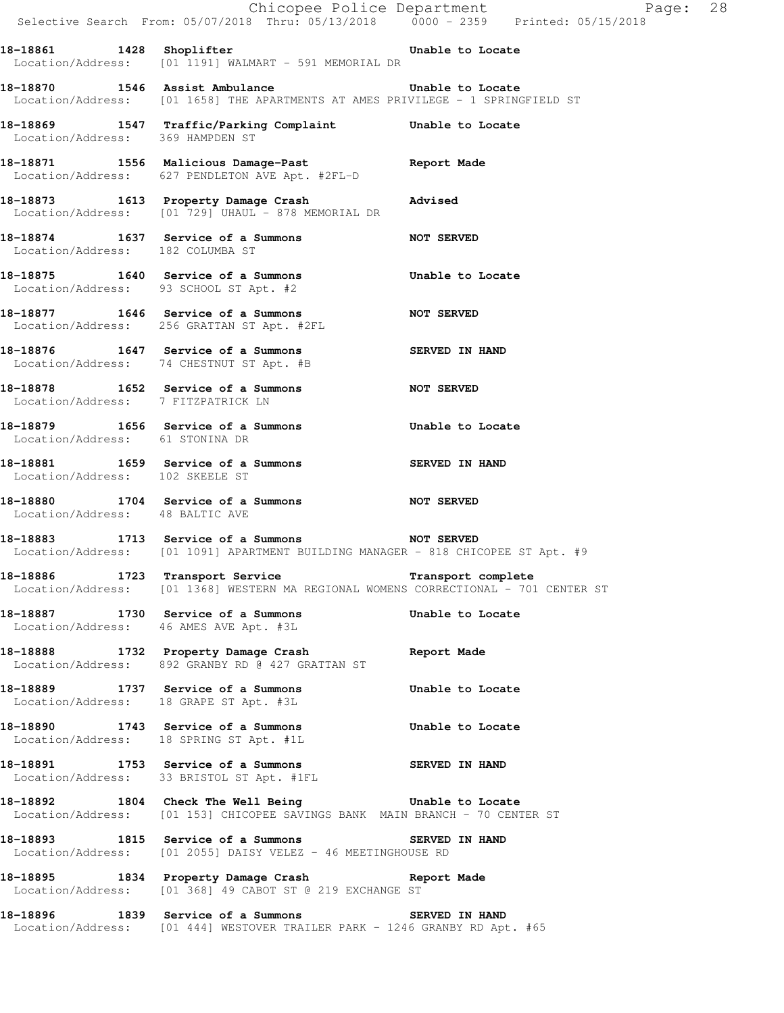|                                        | E Chicopee Police Department<br>Selective Search From: 05/07/2018 Thru: 05/13/2018 0000 - 2359 Printed: 05/15/2018                                     | Page: 28              |  |
|----------------------------------------|--------------------------------------------------------------------------------------------------------------------------------------------------------|-----------------------|--|
| 18-18861 1428 Shoplifter               | Unable to Locate<br>Location/Address: [01 1191] WALMART - 591 MEMORIAL DR                                                                              |                       |  |
|                                        | 18-18870 1546 Assist Ambulance<br>Location/Address: [01 1658] THE APARTMENTS AT AMES PRIVILEGE - 1 SPRINGFIELD ST                                      | Unable to Locate      |  |
|                                        | 18-18869 1547 Traffic/Parking Complaint Unable to Locate<br>Location/Address: 369 HAMPDEN ST                                                           |                       |  |
|                                        | 18-18871 1556 Malicious Damage-Past 18-18871 Report Made<br>Location/Address: 627 PENDLETON AVE Apt. #2FL-D                                            |                       |  |
|                                        | 18-18873 1613 Property Damage Crash<br>Location/Address: [01 729] UHAUL - 878 MEMORIAL DR                                                              | Advised               |  |
| Location/Address: 182 COLUMBA ST       | 18-18874 1637 Service of a Summons                                                                                                                     | NOT SERVED            |  |
| Location/Address: 93 SCHOOL ST Apt. #2 | 18-18875 1640 Service of a Summons Unable to Locate                                                                                                    |                       |  |
|                                        | 18-18877 1646 Service of a Summons<br>Location/Address: 256 GRATTAN ST Apt. #2FL                                                                       | <b>NOT SERVED</b>     |  |
|                                        | 18-18876 1647 Service of a Summons<br>Location/Address: 74 CHESTNUT ST Apt. #B                                                                         | <b>SERVED IN HAND</b> |  |
| Location/Address: 7 FITZPATRICK LN     | 18-18878 1652 Service of a Summons                                                                                                                     | <b>NOT SERVED</b>     |  |
| Location/Address: 61 STONINA DR        | 18-18879 1656 Service of a Summons 5 Unable to Locate                                                                                                  |                       |  |
| Location/Address: 102 SKEELE ST        | 18-18881 1659 Service of a Summons                                                                                                                     | SERVED IN HAND        |  |
| Location/Address: 48 BALTIC AVE        | 18-18880 1704 Service of a Summons                                                                                                                     | <b>NOT SERVED</b>     |  |
|                                        | 18-18883 1713 Service of a Summons<br>Location/Address: [01 1091] APARTMENT BUILDING MANAGER - 818 CHICOPEE ST Apt. #9                                 |                       |  |
|                                        | 18-18886 1723 Transport Service 18-18886 1723 Transport Service<br>Location/Address: [01 1368] WESTERN MA REGIONAL WOMENS CORRECTIONAL - 701 CENTER ST |                       |  |
| Location/Address: 46 AMES AVE Apt. #3L | 18-18887 1730 Service of a Summons                                                                                                                     | Unable to Locate      |  |
|                                        | 18-18888 1732 Property Damage Crash<br>Location/Address: 892 GRANBY RD @ 427 GRATTAN ST                                                                | Report Made           |  |
| Location/Address: 18 GRAPE ST Apt. #3L | 18-18889 1737 Service of a Summons                                                                                                                     | Unable to Locate      |  |
|                                        | 18-18890 1743 Service of a Summons 5 Unable to Locate<br>Location/Address: 18 SPRING ST Apt. #1L                                                       |                       |  |
|                                        | 18-18891 1753 Service of a Summons SERVED IN HAND<br>Location/Address: 33 BRISTOL ST Apt. #1FL                                                         |                       |  |
|                                        | 18-18892 1804 Check The Well Being The Unable to Locate<br>Location/Address: [01 153] CHICOPEE SAVINGS BANK MAIN BRANCH - 70 CENTER ST                 |                       |  |
|                                        | 18-18893 1815 Service of a Summons SERVED IN HAND<br>Location/Address: [01 2055] DAISY VELEZ - 46 MEETINGHOUSE RD                                      |                       |  |
|                                        | 18-18895 1834 Property Damage Crash 18-18895<br>Location/Address: [01 368] 49 CABOT ST @ 219 EXCHANGE ST                                               |                       |  |
|                                        | 18-18896 1839 Service of a Summons SERVED IN HAND<br>Location/Address: [01 444] WESTOVER TRAILER PARK - 1246 GRANBY RD Apt. #65                        |                       |  |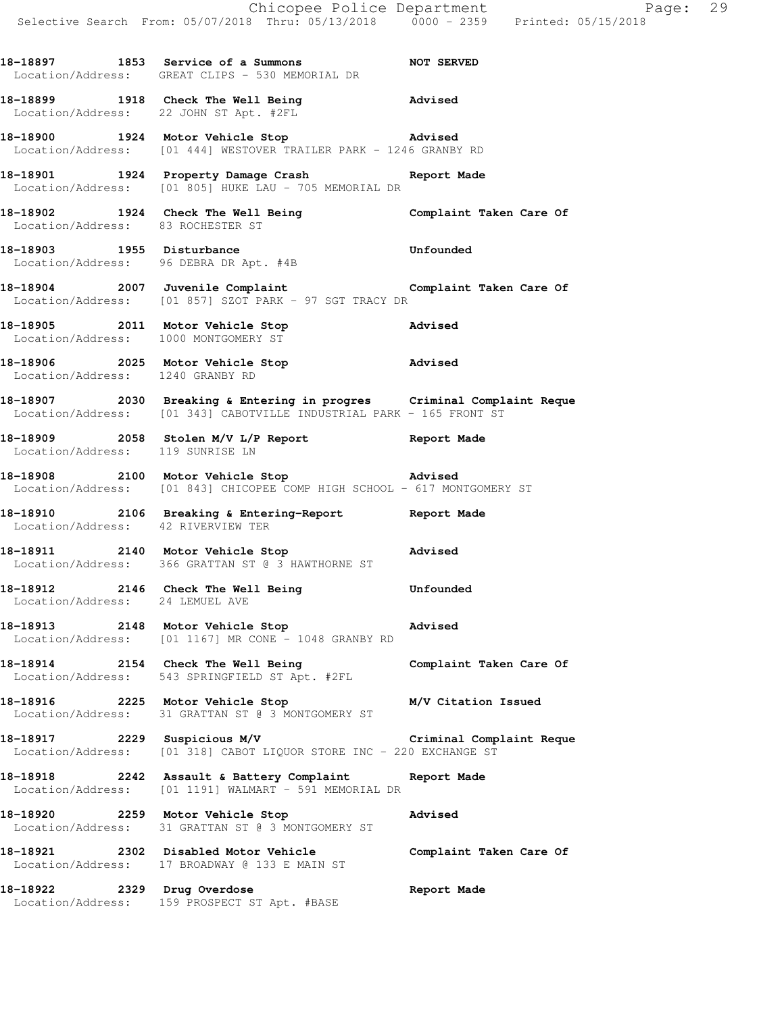**18-18899 1918 Check The Well Being Advised**  Location/Address: 22 JOHN ST Apt. #2FL

**18-18900 1924 Motor Vehicle Stop Advised**  Location/Address: [01 444] WESTOVER TRAILER PARK - 1246 GRANBY RD

**18-18901 1924 Property Damage Crash Report Made**  Location/Address: [01 805] HUKE LAU - 705 MEMORIAL DR

**18-18902 1924 Check The Well Being Complaint Taken Care Of**  Location/Address: 83 ROCHESTER ST

18-18903 1955 Disturbance **18-18903** Unfounded Location/Address: 96 DEBRA DR Apt. #4B

**18-18904 2007 Juvenile Complaint Complaint Taken Care Of**  Location/Address: [01 857] SZOT PARK - 97 SGT TRACY DR

**18-18905 2011 Motor Vehicle Stop Advised**  Location/Address: 1000 MONTGOMERY ST

**18-18906 2025 Motor Vehicle Stop Advised**  Location/Address: 1240 GRANBY RD

**18-18907 2030 Breaking & Entering in progres Criminal Complaint Reque**  Location/Address: [01 343] CABOTVILLE INDUSTRIAL PARK - 165 FRONT ST

**18-18909 2058 Stolen M/V L/P Report Report Made**  Location/Address: 119 SUNRISE LN

**18-18908 2100 Motor Vehicle Stop Advised**  Location/Address: [01 843] CHICOPEE COMP HIGH SCHOOL - 617 MONTGOMERY ST

**18-18910 2106 Breaking & Entering-Report Report Made**  Location/Address: 42 RIVERVIEW TER

**18-18911 2140 Motor Vehicle Stop Advised**  Location/Address: 366 GRATTAN ST @ 3 HAWTHORNE ST

**18-18912 2146 Check The Well Being Unfounded**  Location/Address: 24 LEMUEL AVE

**18-18913 2148 Motor Vehicle Stop Advised**  Location/Address: [01 1167] MR CONE - 1048 GRANBY RD

**18-18914 2154 Check The Well Being Complaint Taken Care Of**  Location/Address: 543 SPRINGFIELD ST Apt. #2FL

**18-18916 2225 Motor Vehicle Stop M/V Citation Issued**  Location/Address: 31 GRATTAN ST @ 3 MONTGOMERY ST

**18-18917 2229 Suspicious M/V Criminal Complaint Reque**  Location/Address: [01 318] CABOT LIQUOR STORE INC - 220 EXCHANGE ST

**18-18918 2242 Assault & Battery Complaint Report Made**  Location/Address: [01 1191] WALMART - 591 MEMORIAL DR

**18-18920 2259 Motor Vehicle Stop Advised**  Location/Address: 31 GRATTAN ST @ 3 MONTGOMERY ST

**18-18921 2302 Disabled Motor Vehicle Complaint Taken Care Of**  Location/Address: 17 BROADWAY @ 133 E MAIN ST

**18-18922 2329 Drug Overdose Report Made**  Location/Address: 159 PROSPECT ST Apt. #BASE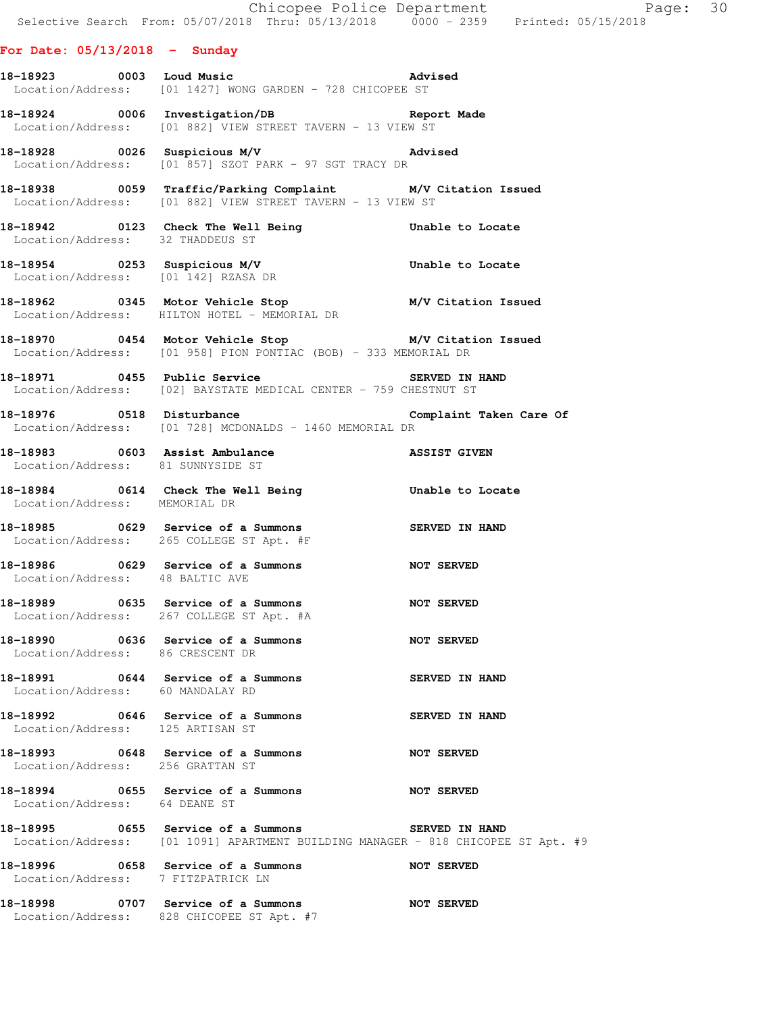## **For Date: 05/13/2018 - Sunday**

**18-18923 0003 Loud Music Advised**  Location/Address: [01 1427] WONG GARDEN - 728 CHICOPEE ST

**18-18924 0006 Investigation/DB Report Made**  Location/Address: [01 882] VIEW STREET TAVERN - 13 VIEW ST

**18-18928 0026 Suspicious M/V Advised**  Location/Address: [01 857] SZOT PARK - 97 SGT TRACY DR

**18-18938 0059 Traffic/Parking Complaint M/V Citation Issued**  Location/Address: [01 882] VIEW STREET TAVERN - 13 VIEW ST

**18-18942 0123 Check The Well Being Unable to Locate**  Location/Address: 32 THADDEUS ST

**18-18954 0253 Suspicious M/V Unable to Locate**  Location/Address: [01 142] RZASA DR

**18-18962 0345 Motor Vehicle Stop M/V Citation Issued**  Location/Address: HILTON HOTEL - MEMORIAL DR

**18-18970 0454 Motor Vehicle Stop M/V Citation Issued**  Location/Address: [01 958] PION PONTIAC (BOB) - 333 MEMORIAL DR

**18-18971 0455 Public Service SERVED IN HAND**  Location/Address: [02] BAYSTATE MEDICAL CENTER - 759 CHESTNUT ST

**18-18976 0518 Disturbance Complaint Taken Care Of**  Location/Address: [01 728] MCDONALDS - 1460 MEMORIAL DR

 Location/Address: 81 SUNNYSIDE ST **18-18984 0614 Check The Well Being Unable to Locate**  Location/Address: MEMORIAL DR

**18-18983 0603 Assist Ambulance ASSIST GIVEN** 

**18-18985 0629 Service of a Summons SERVED IN HAND**  Location/Address: 265 COLLEGE ST Apt. #F

**18-18986 0629 Service of a Summons NOT SERVED**  Location/Address: 48 BALTIC AVE

**18-18989 0635 Service of a Summons NOT SERVED**  Location/Address: 267 COLLEGE ST Apt. #A

**18-18990 0636 Service of a Summons NOT SERVED**  Location/Address: 86 CRESCENT DR

**18-18991 0644 Service of a Summons SERVED IN HAND**  Location/Address: 60 MANDALAY RD

**18-18992 0646 Service of a Summons SERVED IN HAND**  Location/Address: 125 ARTISAN ST

**18-18993 0648 Service of a Summons NOT SERVED**  Location/Address: 256 GRATTAN ST

**18-18994 0655 Service of a Summons NOT SERVED**  Location/Address: 64 DEANE ST

**18-18995 0655 Service of a Summons SERVED IN HAND**  Location/Address: [01 1091] APARTMENT BUILDING MANAGER - 818 CHICOPEE ST Apt. #9

**18-18996 0658 Service of a Summons NOT SERVED** 

Location/Address: 7 FITZPATRICK LN

**18-18998 0707 Service of a Summons NOT SERVED**  Location/Address: 828 CHICOPEE ST Apt. #7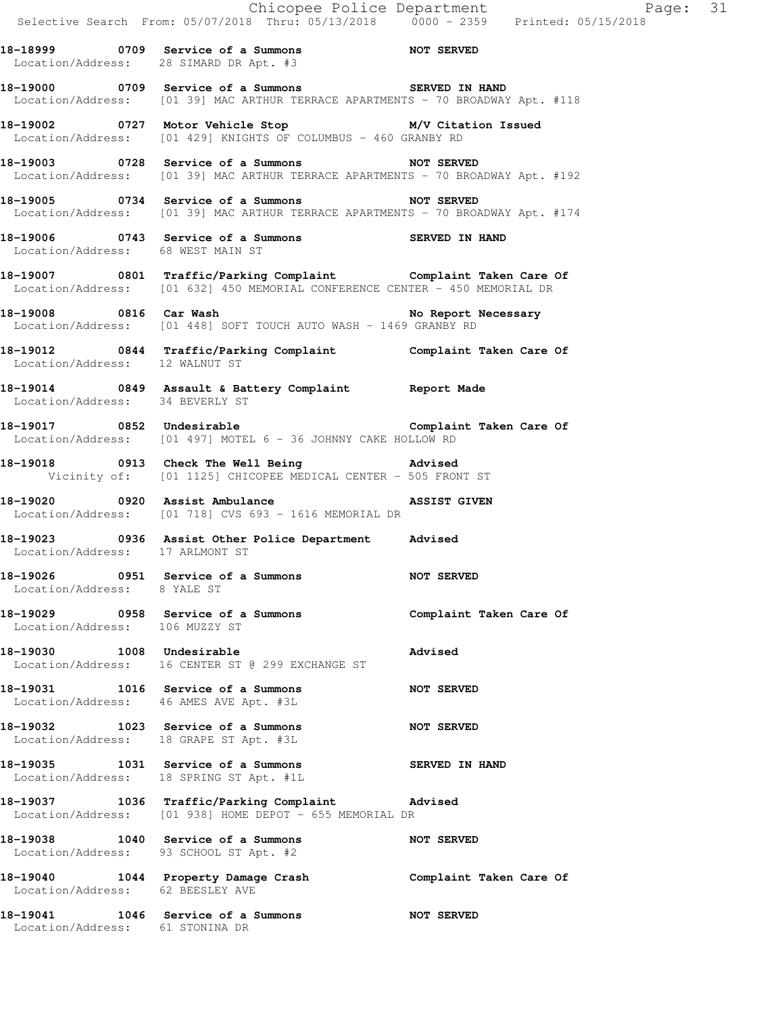|                                         | Selective Search From: 05/07/2018 Thru: 05/13/2018 0000 - 2359 Printed: 05/15/2018                                                                            |                         |
|-----------------------------------------|---------------------------------------------------------------------------------------------------------------------------------------------------------------|-------------------------|
|                                         | 18-18999 0709 Service of a Summons NOT SERVED<br>Location/Address: 28 SIMARD DR Apt. #3                                                                       |                         |
|                                         | 18-19000 0709 Service of a Summons SERVED IN HAND<br>Location/Address: [01 39] MAC ARTHUR TERRACE APARTMENTS - 70 BROADWAY Apt. #118                          |                         |
|                                         | 18-19002 0727 Motor Vehicle Stop M/V Citation Issued<br>Location/Address: [01 429] KNIGHTS OF COLUMBUS - 460 GRANBY RD                                        |                         |
|                                         | 18-19003 0728 Service of a Summons NOT SERVED<br>Location/Address: [01 39] MAC ARTHUR TERRACE APARTMENTS - 70 BROADWAY Apt. #192                              |                         |
|                                         | 18-19005 0734 Service of a Summons NOT SERVED<br>Location/Address: [01 39] MAC ARTHUR TERRACE APARTMENTS - 70 BROADWAY Apt. #174                              |                         |
| Location/Address: 68 WEST MAIN ST       | 18-19006 0743 Service of a Summons SERVED IN HAND                                                                                                             |                         |
|                                         | 18-19007 0801 Traffic/Parking Complaint Complaint Taken Care Of<br>Location/Address: [01 632] 450 MEMORIAL CONFERENCE CENTER - 450 MEMORIAL DR                |                         |
|                                         | Location/Address: [01 448] SOFT TOUCH AUTO WASH - 1469 GRANBY RD                                                                                              |                         |
| Location/Address: 12 WALNUT ST          | 18-19012 0844 Traffic/Parking Complaint Complaint Taken Care Of                                                                                               |                         |
| Location/Address: 34 BEVERLY ST         | 18-19014 0849 Assault & Battery Complaint Report Made                                                                                                         |                         |
|                                         | <br> 18-19017        0852  Undesirable                               Complaint Taken Care Of<br>Location/Address: [01 497] MOTEL 6 - 36 JOHNNY CAKE HOLLOW RD |                         |
|                                         | 18-19018 0913 Check The Well Being 30 Advised<br>Vicinity of: [01 1125] CHICOPEE MEDICAL CENTER - 505 FRONT ST                                                |                         |
|                                         | 18-19020 0920 Assist Ambulance ASSIST GIVEN<br>Location/Address: [01 718] CVS 693 - 1616 MEMORIAL DR                                                          |                         |
|                                         | 18-19023 0936 Assist Other Police Department Advised<br>Location/Address: 17 ARLMONT ST                                                                       |                         |
| 18-19026<br>Location/Address: 8 YALE ST | 0951 Service of a Summons                                                                                                                                     | NOT SERVED              |
|                                         | 18-19029 0958 Service of a Summons<br>Location/Address: 106 MUZZY ST                                                                                          | Complaint Taken Care Of |
| 18-19030 1008 Undesirable               | Location/Address: 16 CENTER ST @ 299 EXCHANGE ST                                                                                                              | <b>Advised</b>          |
|                                         | 18-19031 1016 Service of a Summons<br>Location/Address: 46 AMES AVE Apt. #3L                                                                                  | <b>NOT SERVED</b>       |
|                                         | 18-19032 1023 Service of a Summons<br>Location/Address: 18 GRAPE ST Apt. #3L                                                                                  | <b>NOT SERVED</b>       |
|                                         | 18-19035 1031 Service of a Summons<br>Location/Address: 18 SPRING ST Apt. #1L                                                                                 | SERVED IN HAND          |
|                                         | 18-19037 1036 Traffic/Parking Complaint Advised<br>Location/Address: [01 938] HOME DEPOT - 655 MEMORIAL DR                                                    |                         |
|                                         | 18-19038 1040 Service of a Summons<br>Location/Address: 93 SCHOOL ST Apt. #2                                                                                  | <b>NOT SERVED</b>       |
| Location/Address: 62 BEESLEY AVE        | 18-19040 1044 Property Damage Crash Complaint Taken Care Of                                                                                                   |                         |
| Location/Address: 61 STONINA DR         | 18-19041 1046 Service of a Summons                                                                                                                            | <b>NOT SERVED</b>       |

Page: 31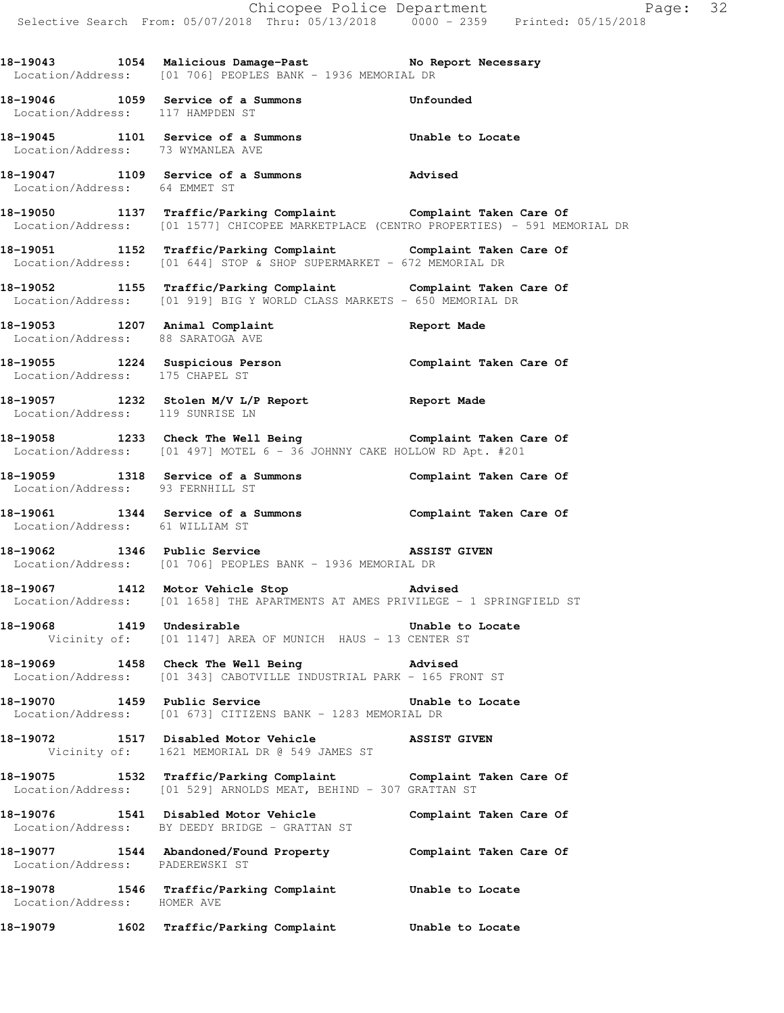18-19043 1054 Malicious Damage-Past **No Report Necessary** Location/Address: [01 706] PEOPLES BANK - 1936 MEMORIAL DR

**18-19046 1059 Service of a Summons Unfounded**  Location/Address: 117 HAMPDEN ST

**18-19045 1101 Service of a Summons Unable to Locate**  Location/Address: 73 WYMANLEA AVE

**18-19047 1109 Service of a Summons Advised**  Location/Address: 64 EMMET ST

**18-19050 1137 Traffic/Parking Complaint Complaint Taken Care Of**  Location/Address: [01 1577] CHICOPEE MARKETPLACE (CENTRO PROPERTIES) - 591 MEMORIAL DR

**18-19051 1152 Traffic/Parking Complaint Complaint Taken Care Of**  Location/Address: [01 644] STOP & SHOP SUPERMARKET - 672 MEMORIAL DR

**18-19052 1155 Traffic/Parking Complaint Complaint Taken Care Of**  Location/Address: [01 919] BIG Y WORLD CLASS MARKETS - 650 MEMORIAL DR

**18-19053 1207 Animal Complaint Report Made**  Location/Address: 88 SARATOGA AVE

**18-19055 1224 Suspicious Person Complaint Taken Care Of**  Location/Address: 175 CHAPEL ST

**18-19057 1232 Stolen M/V L/P Report Report Made**  Location/Address: 119 SUNRISE LN

**18-19058 1233 Check The Well Being Complaint Taken Care Of**  Location/Address: [01 497] MOTEL 6 - 36 JOHNNY CAKE HOLLOW RD Apt. #201

**18-19059 1318 Service of a Summons Complaint Taken Care Of**  Location/Address: 93 FERNHILL ST

**18-19061 1344 Service of a Summons Complaint Taken Care Of**  Location/Address: 61 WILLIAM ST

**18-19062** 1346 Public Service **1346 Public Service 1346 ASSIST GIVEN** Location/Address: [01 706] PEOPLES BANK - 1936 MEMORIAL DR

**18-19067 1412 Motor Vehicle Stop Advised**  Location/Address: [01 1658] THE APARTMENTS AT AMES PRIVILEGE - 1 SPRINGFIELD ST

18-19068 1419 Undesirable **18-1906** Unable to Locate Vicinity of: [01 1147] AREA OF MUNICH HAUS - 13 CENTER ST

**18-19069 1458 Check The Well Being Advised**  Location/Address: [01 343] CABOTVILLE INDUSTRIAL PARK - 165 FRONT ST

**18-19070 1459 Public Service Unable to Locate**  Location/Address: [01 673] CITIZENS BANK - 1283 MEMORIAL DR

**18-19072 1517 Disabled Motor Vehicle ASSIST GIVEN**  Vicinity of: 1621 MEMORIAL DR @ 549 JAMES ST

**18-19075 1532 Traffic/Parking Complaint Complaint Taken Care Of**  Location/Address: [01 529] ARNOLDS MEAT, BEHIND - 307 GRATTAN ST

**18-19076 1541 Disabled Motor Vehicle Complaint Taken Care Of**  Location/Address: BY DEEDY BRIDGE - GRATTAN ST

**18-19077 1544 Abandoned/Found Property Complaint Taken Care Of**  Location/Address: PADEREWSKI ST

**18-19078 1546 Traffic/Parking Complaint Unable to Locate**  Location/Address: HOMER AVE

**18-19079 1602 Traffic/Parking Complaint Unable to Locate**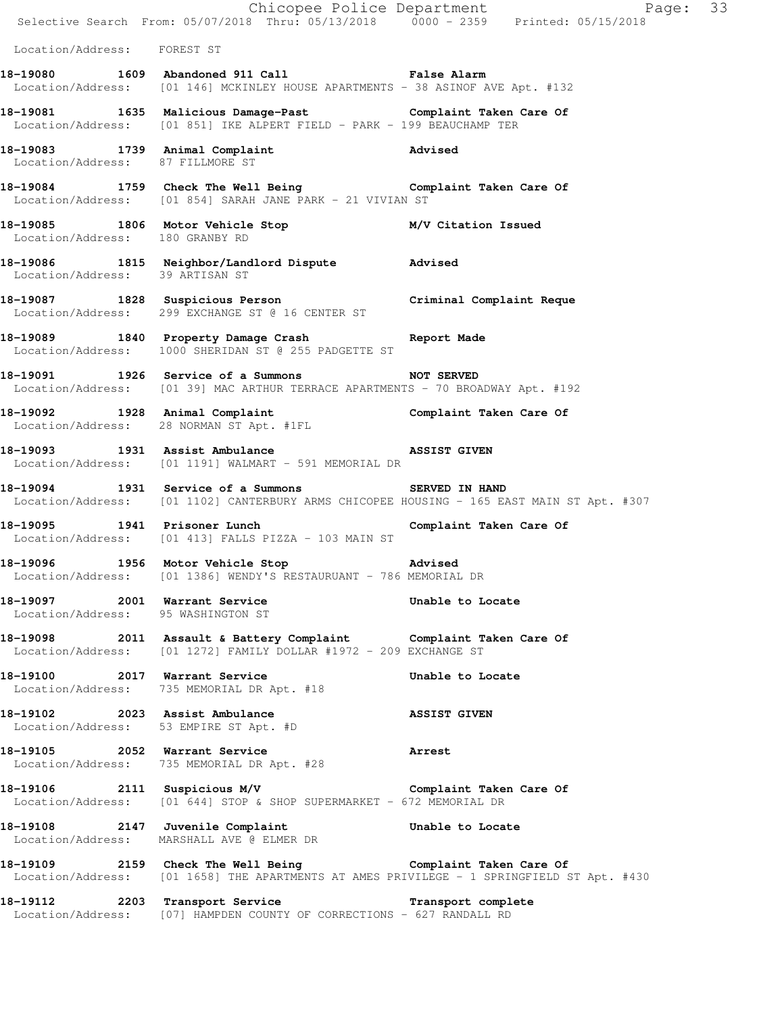|                                                                     |                                                                                                                                                           | Chicopee Police Department<br>Selective Search From: 05/07/2018 Thru: 05/13/2018 0000 - 2359 Printed: 05/15/2018 |
|---------------------------------------------------------------------|-----------------------------------------------------------------------------------------------------------------------------------------------------------|------------------------------------------------------------------------------------------------------------------|
| Location/Address: FOREST ST                                         |                                                                                                                                                           |                                                                                                                  |
|                                                                     | 18-19080 1609 Abandoned 911 Call Call False Alarm<br>Location/Address: [01 146] MCKINLEY HOUSE APARTMENTS - 38 ASINOF AVE Apt. #132                       |                                                                                                                  |
|                                                                     | 18-19081 1635 Malicious Damage-Past Complaint Taken Care Of<br>Location/Address: [01 851] IKE ALPERT FIELD - PARK - 199 BEAUCHAMP TER                     |                                                                                                                  |
|                                                                     | 18-19083 1739 Animal Complaint Advised<br>Location/Address: 87 FILLMORE ST                                                                                |                                                                                                                  |
|                                                                     | 18-19084 1759 Check The Well Being Complaint Taken Care Of<br>Location/Address: [01 854] SARAH JANE PARK - 21 VIVIAN ST                                   |                                                                                                                  |
| Location/Address: 180 GRANBY RD                                     | 18-19085 1806 Motor Vehicle Stop M/V Citation Issued                                                                                                      |                                                                                                                  |
|                                                                     | 18-19086 1815 Neighbor/Landlord Dispute Advised<br>Location/Address: 39 ARTISAN ST                                                                        |                                                                                                                  |
|                                                                     | 18-19087 1828 Suspicious Person<br>Location/Address: 299 EXCHANGE ST @ 16 CENTER ST                                                                       |                                                                                                                  |
|                                                                     | 18-19089 1840 Property Damage Crash Report Made<br>Location/Address: 1000 SHERIDAN ST @ 255 PADGETTE ST                                                   |                                                                                                                  |
|                                                                     | 18-19091 1926 Service of a Summons NOT SERVED<br>Location/Address: [01 39] MAC ARTHUR TERRACE APARTMENTS - 70 BROADWAY Apt. #192                          |                                                                                                                  |
|                                                                     | 18-19092   1928   Animal Complaint   Complaint Taken Care Of Location/Address: 28 NORMAN ST Apt. #1FL                                                     |                                                                                                                  |
|                                                                     | 18-19093 1931 Assist Ambulance Nassist GIVEN<br>Location/Address: [01 1191] WALMART - 591 MEMORIAL DR                                                     |                                                                                                                  |
|                                                                     | 18-19094 1931 Service of a Summons SERVED IN HAND                                                                                                         | Location/Address: [01 1102] CANTERBURY ARMS CHICOPEE HOUSING - 165 EAST MAIN ST Apt. #307                        |
|                                                                     | 18-19095 1941 Prisoner Lunch<br>Location/Address: [01 413] FALLS PIZZA - 103 MAIN ST                                                                      | Complaint Taken Care Of                                                                                          |
| 18-19096 1956 Motor Vehicle Stop                                    | Location/Address: [01 1386] WENDY'S RESTAURUANT - 786 MEMORIAL DR                                                                                         | <b>Advised</b>                                                                                                   |
| 18-19097 2001 Warrant Service<br>Location/Address: 95 WASHINGTON ST |                                                                                                                                                           | Unable to Locate                                                                                                 |
|                                                                     | 18-19098 2011 Assault & Battery Complaint Complaint Taken Care Of<br>Location/Address: [01 1272] FAMILY DOLLAR #1972 - 209 EXCHANGE ST                    |                                                                                                                  |
| 18-19100 2017 Warrant Service                                       | Location/Address: 735 MEMORIAL DR Apt. #18                                                                                                                | Unable to Locate                                                                                                 |
| 18-19102 2023 Assist Ambulance                                      | Location/Address: 53 EMPIRE ST Apt. #D                                                                                                                    | <b>ASSIST GIVEN</b>                                                                                              |
|                                                                     | 18-19105 2052 Warrant Service<br>Location/Address: 735 MEMORIAL DR Apt. #28                                                                               | <b>Arrest</b>                                                                                                    |
|                                                                     | 18-19106 2111 Suspicious M/V Complaint Taken Care Of<br>Location/Address: [01 644] STOP & SHOP SUPERMARKET - 672 MEMORIAL DR                              |                                                                                                                  |
|                                                                     | 18-19108 2147 Juvenile Complaint Communism Unable to Locate<br>Location/Address: MARSHALL AVE @ ELMER DR                                                  |                                                                                                                  |
|                                                                     | 18-19109 2159 Check The Well Being Complaint Taken Care Of<br>  Location/Address: [01 1658] THE APARTMENTS AT AMES PRIVILEGE - 1 SPRINGFIELD ST Apt. #430 |                                                                                                                  |
|                                                                     | 18-19112 2203 Transport Service<br>Location/Address: [07] HAMPDEN COUNTY OF CORRECTIONS - 627 RANDALL RD                                                  | Transport complete                                                                                               |